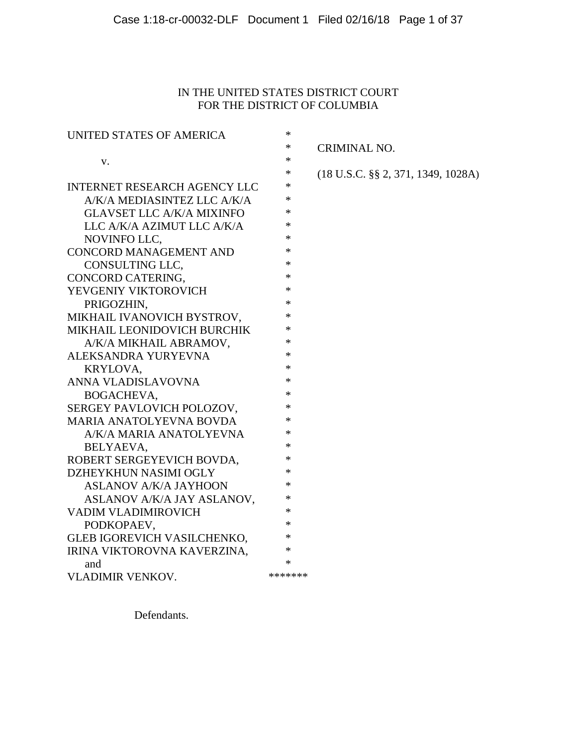## IN THE UNITED STATES DISTRICT COURT FOR THE DISTRICT OF COLUMBIA

| UNITED STATES OF AMERICA            | *       |                                               |
|-------------------------------------|---------|-----------------------------------------------|
|                                     | *       | <b>CRIMINAL NO.</b>                           |
| V.                                  | *       |                                               |
|                                     | *       | $(18 \text{ U.S.C. }$ §§ 2, 371, 1349, 1028A) |
| <b>INTERNET RESEARCH AGENCY LLC</b> | $\ast$  |                                               |
| A/K/A MEDIASINTEZ LLC A/K/A         | *       |                                               |
| <b>GLAVSET LLC A/K/A MIXINFO</b>    | $\ast$  |                                               |
| LLC A/K/A AZIMUT LLC A/K/A          | ∗       |                                               |
| NOVINFO LLC,                        | $\ast$  |                                               |
| <b>CONCORD MANAGEMENT AND</b>       | *       |                                               |
| CONSULTING LLC,                     | $\ast$  |                                               |
| CONCORD CATERING,                   | $\ast$  |                                               |
| YEVGENIY VIKTOROVICH                | $\ast$  |                                               |
| PRIGOZHIN,                          | $\ast$  |                                               |
| MIKHAIL IVANOVICH BYSTROV,          | ∗       |                                               |
| MIKHAIL LEONIDOVICH BURCHIK         | ∗       |                                               |
| A/K/A MIKHAIL ABRAMOV,              | *       |                                               |
| ALEKSANDRA YURYEVNA                 | $\ast$  |                                               |
| KRYLOVA,                            | $\ast$  |                                               |
| ANNA VLADISLAVOVNA                  | $\ast$  |                                               |
| BOGACHEVA,                          | $\ast$  |                                               |
| SERGEY PAVLOVICH POLOZOV,           | *       |                                               |
| MARIA ANATOLYEVNA BOVDA             | $\ast$  |                                               |
| A/K/A MARIA ANATOLYEVNA             | ∗       |                                               |
| BELYAEVA,                           | $\ast$  |                                               |
| ROBERT SERGEYEVICH BOVDA,           | *       |                                               |
| DZHEYKHUN NASIMI OGLY               | $\ast$  |                                               |
| <b>ASLANOV A/K/A JAYHOON</b>        | ∗       |                                               |
| ASLANOV A/K/A JAY ASLANOV,          | ∗       |                                               |
| VADIM VLADIMIROVICH                 | $\ast$  |                                               |
| PODKOPAEV,                          | $\ast$  |                                               |
| <b>GLEB IGOREVICH VASILCHENKO,</b>  | $\ast$  |                                               |
| IRINA VIKTOROVNA KAVERZINA,         | *       |                                               |
| and                                 | ∗       |                                               |
| <b>VLADIMIR VENKOV.</b>             | ******* |                                               |

Defendants.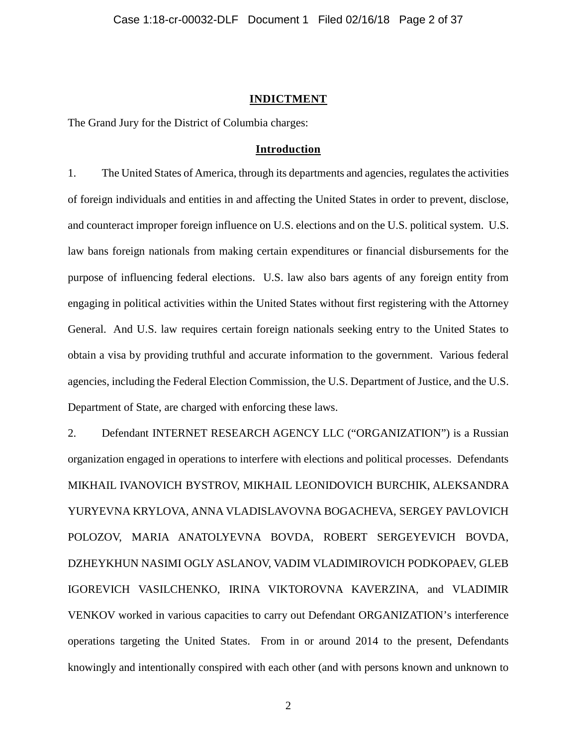#### **INDICTMENT**

The Grand Jury for the District of Columbia charges:

### **Introduction**

1. The United States of America, through its departments and agencies, regulates the activities of foreign individuals and entities in and affecting the United States in order to prevent, disclose, and counteract improper foreign influence on U.S. elections and on the U.S. political system. U.S. law bans foreign nationals from making certain expenditures or financial disbursements for the purpose of influencing federal elections. U.S. law also bars agents of any foreign entity from engaging in political activities within the United States without first registering with the Attorney General. And U.S. law requires certain foreign nationals seeking entry to the United States to obtain a visa by providing truthful and accurate information to the government. Various federal agencies, including the Federal Election Commission, the U.S. Department of Justice, and the U.S. Department of State, are charged with enforcing these laws.

2. Defendant INTERNET RESEARCH AGENCY LLC ("ORGANIZATION") is a Russian organization engaged in operations to interfere with elections and political processes. Defendants MIKHAIL IVANOVICH BYSTROV, MIKHAIL LEONIDOVICH BURCHIK, ALEKSANDRA YURYEVNA KRYLOVA, ANNA VLADISLAVOVNA BOGACHEVA, SERGEY PAVLOVICH POLOZOV, MARIA ANATOLYEVNA BOVDA, ROBERT SERGEYEVICH BOVDA, DZHEYKHUN NASIMI OGLY ASLANOV, VADIM VLADIMIROVICH PODKOPAEV, GLEB IGOREVICH VASILCHENKO, IRINA VIKTOROVNA KAVERZINA, and VLADIMIR VENKOV worked in various capacities to carry out Defendant ORGANIZATION's interference operations targeting the United States. From in or around 2014 to the present, Defendants knowingly and intentionally conspired with each other (and with persons known and unknown to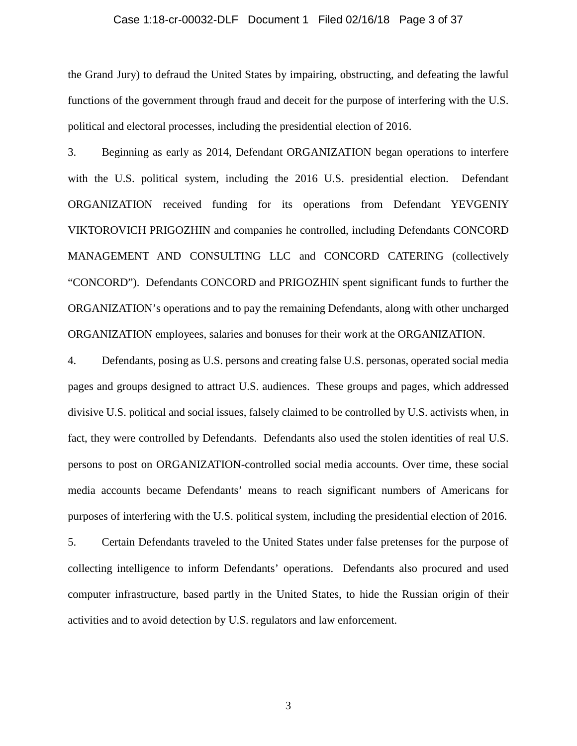# Case 1:18-cr-00032-DLF Document 1 Filed 02/16/18 Page 3 of 37

 the Grand Jury) to defraud the United States by impairing, obstructing, and defeating the lawful functions of the government through fraud and deceit for the purpose of interfering with the U.S. political and electoral processes, including the presidential election of 2016.

 3. Beginning as early as 2014, Defendant ORGANIZATION began operations to interfere with the U.S. political system, including the 2016 U.S. presidential election. Defendant ORGANIZATION received funding for its operations from Defendant YEVGENIY VIKTOROVICH PRIGOZHIN and companies he controlled, including Defendants CONCORD MANAGEMENT AND CONSULTING LLC and CONCORD CATERING (collectively "CONCORD"). Defendants CONCORD and PRIGOZHIN spent significant funds to further the ORGANIZATION's operations and to pay the remaining Defendants, along with other uncharged ORGANIZATION employees, salaries and bonuses for their work at the ORGANIZATION.

 4. Defendants, posing as U.S. persons and creating false U.S. personas, operated social media pages and groups designed to attract U.S. audiences. These groups and pages, which addressed divisive U.S. political and social issues, falsely claimed to be controlled by U.S. activists when, in fact, they were controlled by Defendants. Defendants also used the stolen identities of real U.S. persons to post on ORGANIZATION-controlled social media accounts. Over time, these social media accounts became Defendants' means to reach significant numbers of Americans for purposes of interfering with the U.S. political system, including the presidential election of 2016.

 5. Certain Defendants traveled to the United States under false pretenses for the purpose of collecting intelligence to inform Defendants' operations. Defendants also procured and used computer infrastructure, based partly in the United States, to hide the Russian origin of their activities and to avoid detection by U.S. regulators and law enforcement.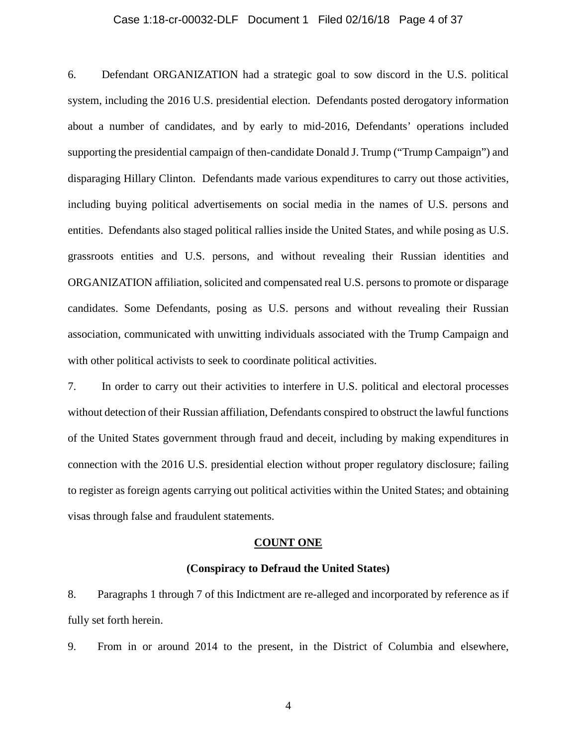# Case 1:18-cr-00032-DLF Document 1 Filed 02/16/18 Page 4 of 37

 6. Defendant ORGANIZATION had a strategic goal to sow discord in the U.S. political system, including the 2016 U.S. presidential election. Defendants posted derogatory information about a number of candidates, and by early to mid-2016, Defendants' operations included supporting the presidential campaign of then-candidate Donald J. Trump ("Trump Campaign") and disparaging Hillary Clinton. Defendants made various expenditures to carry out those activities, including buying political advertisements on social media in the names of U.S. persons and entities. Defendants also staged political rallies inside the United States, and while posing as U.S. grassroots entities and U.S. persons, and without revealing their Russian identities and ORGANIZATION affiliation, solicited and compensated real U.S. persons to promote or disparage candidates. Some Defendants, posing as U.S. persons and without revealing their Russian association, communicated with unwitting individuals associated with the Trump Campaign and with other political activists to seek to coordinate political activities.

<span id="page-3-0"></span> 7. In order to carry out their activities to interfere in U.S. political and electoral processes without detection of their Russian affiliation, Defendants conspired to obstruct the lawful functions of the United States government through fraud and deceit, including by making expenditures in connection with the 2016 U.S. presidential election without proper regulatory disclosure; failing to register as foreign agents carrying out political activities within the United States; and obtaining visas through false and fraudulent statements.

### **COUNT ONE**

#### **(Conspiracy to Defraud the United States)**

 8. Paragraphs 1 through [7](#page-3-0) of this Indictment are re-alleged and incorporated by reference as if fully set forth herein.

9. From in or around 2014 to the present, in the District of Columbia and elsewhere,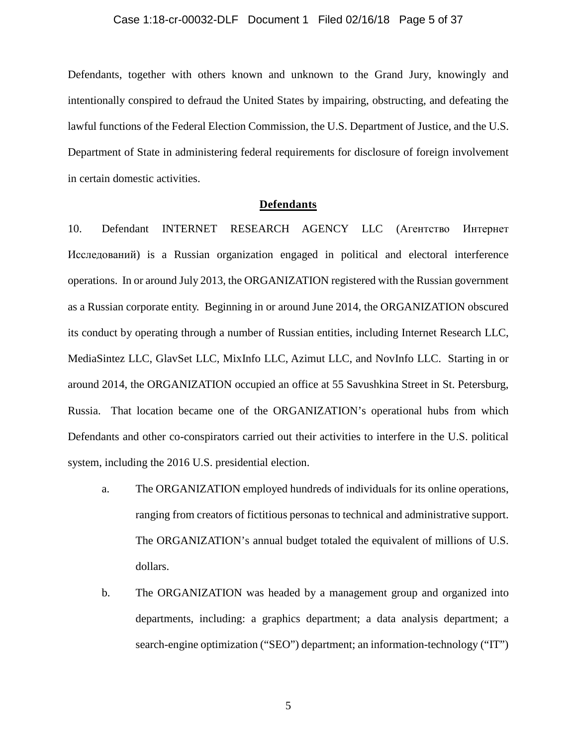Defendants, together with others known and unknown to the Grand Jury, knowingly and intentionally conspired to defraud the United States by impairing, obstructing, and defeating the lawful functions of the Federal Election Commission, the U.S. Department of Justice, and the U.S. Department of State in administering federal requirements for disclosure of foreign involvement in certain domestic activities.

### **Defendants**

10. Defendant INTERNET RESEARCH AGENCY LLC (Агентство Интернет Исследований) is a Russian organization engaged in political and electoral interference operations. In or around July 2013, the ORGANIZATION registered with the Russian government as a Russian corporate entity. Beginning in or around June 2014, the ORGANIZATION obscured its conduct by operating through a number of Russian entities, including Internet Research LLC, MediaSintez LLC, GlavSet LLC, MixInfo LLC, Azimut LLC, and NovInfo LLC. Starting in or around 2014, the ORGANIZATION occupied an office at 55 Savushkina Street in St. Petersburg, Russia. That location became one of the ORGANIZATION's operational hubs from which Defendants and other co-conspirators carried out their activities to interfere in the U.S. political system, including the 2016 U.S. presidential election.

- a. The ORGANIZATION employed hundreds of individuals for its online operations, ranging from creators of fictitious personas to technical and administrative support. The ORGANIZATION's annual budget totaled the equivalent of millions of U.S. dollars.
- b. The ORGANIZATION was headed by a management group and organized into departments, including: a graphics department; a data analysis department; a search-engine optimization ("SEO") department; an information-technology ("IT")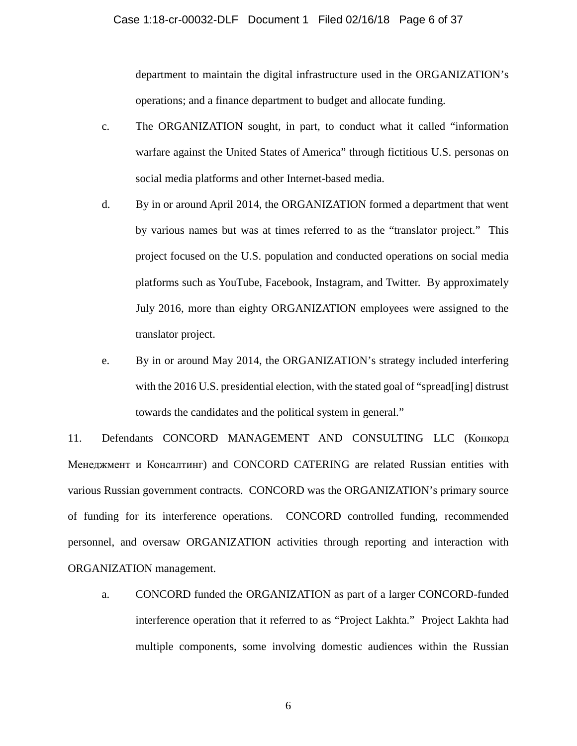department to maintain the digital infrastructure used in the ORGANIZATION's operations; and a finance department to budget and allocate funding.

- c. The ORGANIZATION sought, in part, to conduct what it called "information warfare against the United States of America" through fictitious U.S. personas on social media platforms and other Internet-based media.
- d. By in or around April 2014, the ORGANIZATION formed a department that went by various names but was at times referred to as the "translator project." This project focused on the U.S. population and conducted operations on social media platforms such as YouTube, Facebook, Instagram, and Twitter. By approximately July 2016, more than eighty ORGANIZATION employees were assigned to the translator project.
- e. By in or around May 2014, the ORGANIZATION's strategy included interfering with the 2016 U.S. presidential election, with the stated goal of "spread[ing] distrust towards the candidates and the political system in general."

 11. Defendants CONCORD MANAGEMENT AND CONSULTING LLC (Конкорд Менеджмент и Консалтинг) and CONCORD CATERING are related Russian entities with various Russian government contracts. CONCORD was the ORGANIZATION's primary source of funding for its interference operations. CONCORD controlled funding, recommended personnel, and oversaw ORGANIZATION activities through reporting and interaction with **ORGANIZATION** management. ORGANIZATION management.<br>a. CONCORD funded the ORGANIZATION as part of a larger CONCORD-funded

 interference operation that it referred to as "Project Lakhta." Project Lakhta had multiple components, some involving domestic audiences within the Russian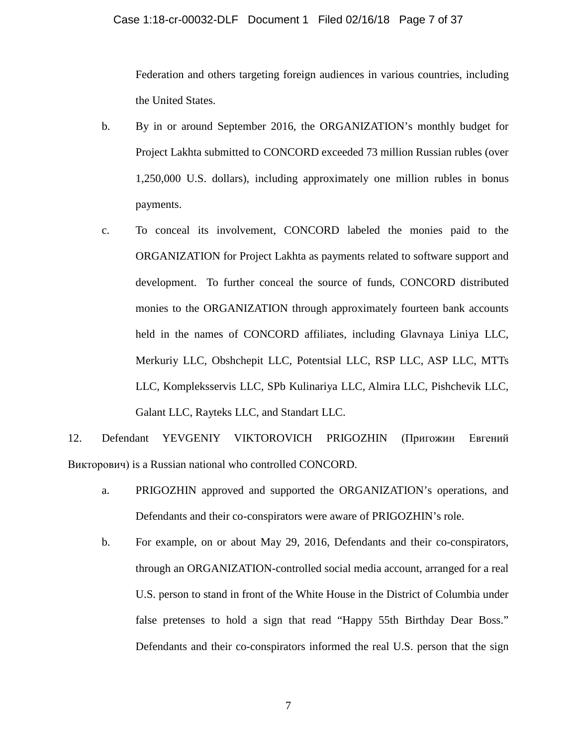### Case 1:18-cr-00032-DLF Document 1 Filed 02/16/18 Page 7 of 37

 Federation and others targeting foreign audiences in various countries, including the United States.

- b. By in or around September 2016, the ORGANIZATION's monthly budget for Project Lakhta submitted to CONCORD exceeded 73 million Russian rubles (over 1,250,000 U.S. dollars), including approximately one million rubles in bonus payments. payments. c. To conceal its involvement, CONCORD labeled the monies paid to the
- ORGANIZATION for Project Lakhta as payments related to software support and development. To further conceal the source of funds, CONCORD distributed monies to the ORGANIZATION through approximately fourteen bank accounts held in the names of CONCORD affiliates, including Glavnaya Liniya LLC, Merkuriy LLC, Obshchepit LLC, Potentsial LLC, RSP LLC, ASP LLC, MTTs LLC, Kompleksservis LLC, SPb Kulinariya LLC, Almira LLC, Pishchevik LLC, Galant LLC, Rayteks LLC, and Standart LLC.

(Пригожин Викторович) is a Russian national who controlled CONCORD. 12. Defendant YEVGENIY VIKTOROVICH PRIGOZHIN (Пригожин Евгений

- a. PRIGOZHIN approved and supported the ORGANIZATION's operations, and Defendants and their co-conspirators were aware of PRIGOZHIN's role.
- b. For example, on or about May 29, 2016, Defendants and their co-conspirators, through an ORGANIZATION-controlled social media account, arranged for a real U.S. person to stand in front of the White House in the District of Columbia under false pretenses to hold a sign that read "Happy 55th Birthday Dear Boss." Defendants and their co-conspirators informed the real U.S. person that the sign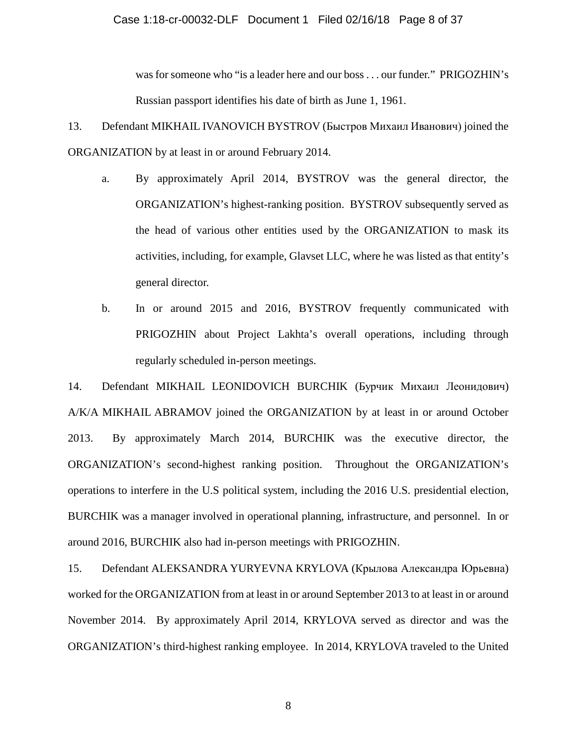was for someone who "is a leader here and our boss . . . our funder." PRIGOZHIN's Russian passport identifies his date of birth as June 1, 1961.

- 13. Defendant MIKHAIL IVANOVICH BYSTROV (Быстров Михаил Иванович) joined the ORGANIZATION by at least in or around February 2014.
	- a. By approximately April 2014, BYSTROV was the general director, the ORGANIZATION's highest-ranking position. BYSTROV subsequently served as the head of various other entities used by the ORGANIZATION to mask its activities, including, for example, Glavset LLC, where he was listed as that entity's general director.
	- b. In or around 2015 and 2016, BYSTROV frequently communicated with PRIGOZHIN about Project Lakhta's overall operations, including through regularly scheduled in-person meetings.

 14. Defendant MIKHAIL LEONIDOVICH BURCHIK (Бурчик Михаил Леонидович) A/K/A MIKHAIL ABRAMOV joined the ORGANIZATION by at least in or around October 2013. ORGANIZATION's second-highest ranking position. Throughout the ORGANIZATION's operations to interfere in the U.S political system, including the 2016 U.S. presidential election, BURCHIK was a manager involved in operational planning, infrastructure, and personnel. In or around 2016, BURCHIK also had in-person meetings with PRIGOZHIN. 2013. By approximately March 2014, BURCHIK was the executive director, the

 15. Defendant ALEKSANDRA YURYEVNA KRYLOVA (Крылова Александра Юрьевна) worked for the ORGANIZATION from at least in or around September 2013 to at least in or around November 2014. By approximately April 2014, KRYLOVA served as director and was the ORGANIZATION's third-highest ranking employee. In 2014, KRYLOVA traveled to the United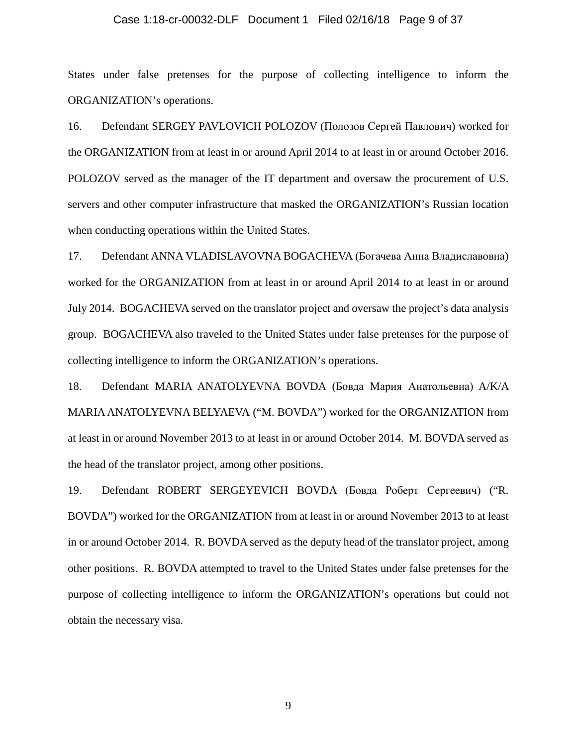### Case 1:18-cr-00032-DLF Document 1 Filed 02/16/18 Page 9 of 37

 States under false pretenses for the purpose of collecting intelligence to inform the ORGANIZATION's operations.

 16. Defendant SERGEY PAVLOVICH POLOZOV (Полозов Сергей Павлович) worked for the ORGANIZATION from at least in or around April 2014 to at least in or around October 2016. POLOZOV served as the manager of the IT department and oversaw the procurement of U.S. servers and other computer infrastructure that masked the ORGANIZATION's Russian location when conducting operations within the United States.

 17. Defendant ANNA VLADISLAVOVNA BOGACHEVA (Богачева Анна Владиславовна) worked for the ORGANIZATION from at least in or around April 2014 to at least in or around July 2014. BOGACHEVA served on the translator project and oversaw the project's data analysis group. BOGACHEVA also traveled to the United States under false pretenses for the purpose of collecting intelligence to inform the ORGANIZATION's operations.

 18. Defendant MARIA ANATOLYEVNA BOVDA (Бовда Мария Анатольевна) A/K/A MARIA ANATOLYEVNA BELYAEVA ("M. BOVDA") worked for the ORGANIZATION from at least in or around November 2013 to at least in or around October 2014. M. BOVDA served as the head of the translator project, among other positions.

 19. Defendant ROBERT SERGEYEVICH BOVDA (Бовда Роберт Сергеевич) ("R. BOVDA") worked for the ORGANIZATION from at least in or around November 2013 to at least in or around October 2014. R. BOVDA served as the deputy head of the translator project, among other positions. R. BOVDA attempted to travel to the United States under false pretenses for the purpose of collecting intelligence to inform the ORGANIZATION's operations but could not obtain the necessary visa.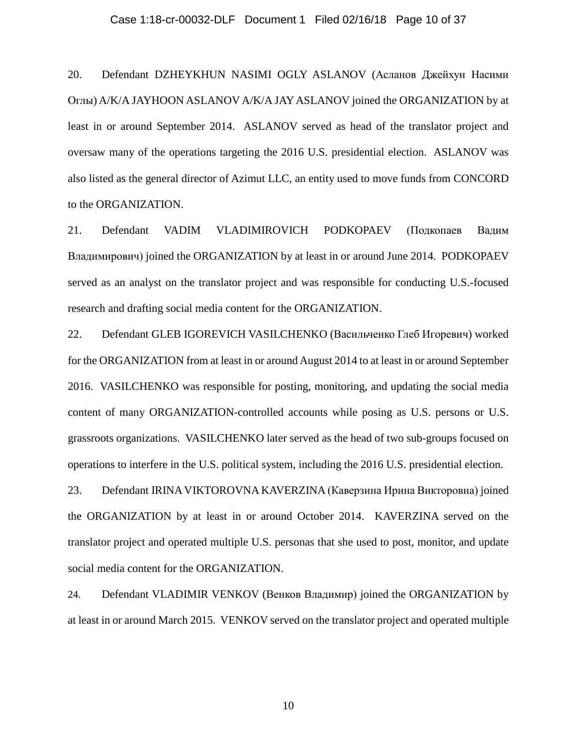# Case 1:18-cr-00032-DLF Document 1 Filed 02/16/18 Page 10 of 37

 20. Defendant DZHEYKHUN NASIMI OGLY ASLANOV (Асланов Джейхун Насими Оглы) A/K/A JAYHOON ASLANOV A/K/A JAY ASLANOV joined the ORGANIZATION by at least in or around September 2014. ASLANOV served as head of the translator project and oversaw many of the operations targeting the 2016 U.S. presidential election. ASLANOV was also listed as the general director of Azimut LLC, an entity used to move funds from CONCORD to the ORGANIZATION.

Defendant Владимирович) joined the ORGANIZATION by at least in or around June 2014. PODKOPAEV served as an analyst on the translator project and was responsible for conducting U.S.-focused research and drafting social media content for the ORGANIZATION. 21. Defendant VADIM VLADIMIROVICH PODKOPAEV (Подкопаев Вадим

 22. Defendant GLEB IGOREVICH VASILCHENKO (Васильченко Глеб Игоревич) worked for the ORGANIZATION from at least in or around August 2014 to at least in or around September 2016. VASILCHENKO was responsible for posting, monitoring, and updating the social media content of many ORGANIZATION-controlled accounts while posing as U.S. persons or U.S. grassroots organizations. VASILCHENKO later served as the head of two sub-groups focused on operations to interfere in the U.S. political system, including the 2016 U.S. presidential election.

 23. Defendant IRINA VIKTOROVNA KAVERZINA (Каверзина Ирина Викторовна) joined the ORGANIZATION by at least in or around October 2014. KAVERZINA served on the translator project and operated multiple U.S. personas that she used to post, monitor, and update social media content for the ORGANIZATION.

 24. Defendant VLADIMIR VENKOV (Венков Владимир) joined the ORGANIZATION by at least in or around March 2015. VENKOV served on the translator project and operated multiple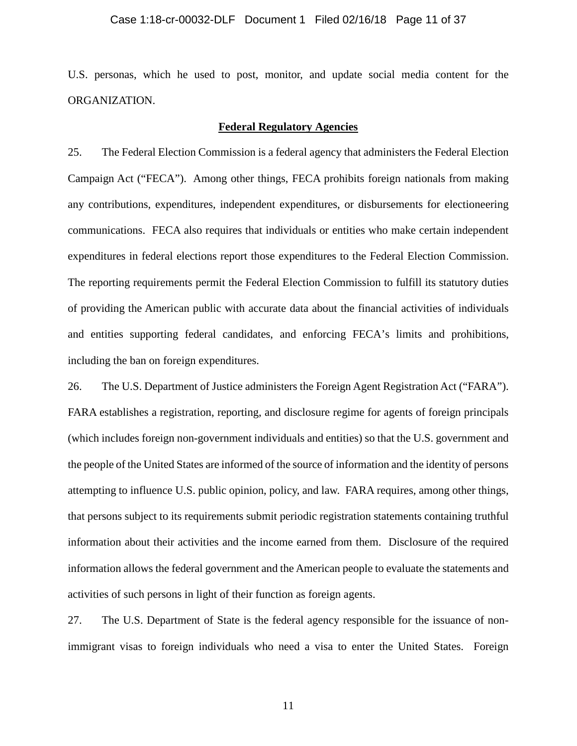# Case 1:18-cr-00032-DLF Document 1 Filed 02/16/18 Page 11 of 37

U.S. personas, which he used to post, monitor, and update social media content for the ORGANIZATION.

#### **Federal Regulatory Agencies**

25. The Federal Election Commission is a federal agency that administers the Federal Election Campaign Act ("FECA"). Among other things, FECA prohibits foreign nationals from making any contributions, expenditures, independent expenditures, or disbursements for electioneering communications. FECA also requires that individuals or entities who make certain independent expenditures in federal elections report those expenditures to the Federal Election Commission. The reporting requirements permit the Federal Election Commission to fulfill its statutory duties of providing the American public with accurate data about the financial activities of individuals and entities supporting federal candidates, and enforcing FECA's limits and prohibitions, including the ban on foreign expenditures.

26. The U.S. Department of Justice administers the Foreign Agent Registration Act ("FARA"). FARA establishes a registration, reporting, and disclosure regime for agents of foreign principals (which includes foreign non-government individuals and entities) so that the U.S. government and the people of the United States are informed of the source of information and the identity of persons attempting to influence U.S. public opinion, policy, and law. FARA requires, among other things, that persons subject to its requirements submit periodic registration statements containing truthful information about their activities and the income earned from them. Disclosure of the required information allows the federal government and the American people to evaluate the statements and activities of such persons in light of their function as foreign agents.

<span id="page-10-0"></span>27. The U.S. Department of State is the federal agency responsible for the issuance of nonimmigrant visas to foreign individuals who need a visa to enter the United States. Foreign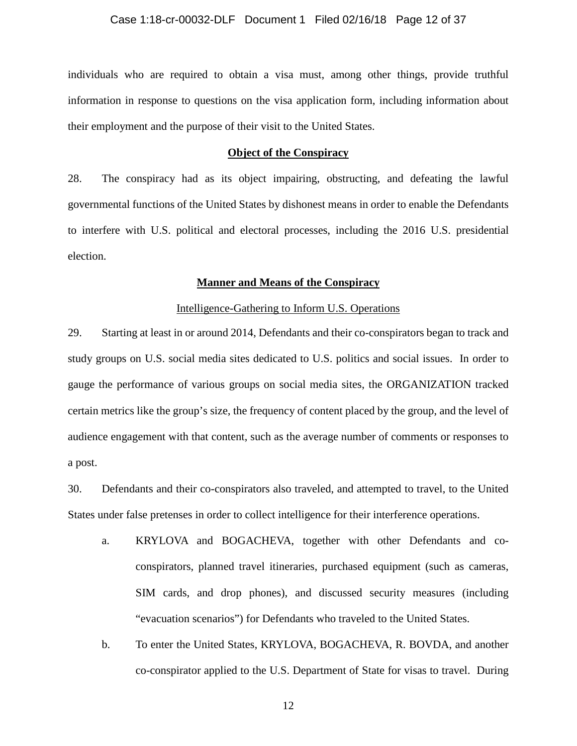# Case 1:18-cr-00032-DLF Document 1 Filed 02/16/18 Page 12 of 37

individuals who are required to obtain a visa must, among other things, provide truthful information in response to questions on the visa application form, including information about their employment and the purpose of their visit to the United States.

#### **Object of the Conspiracy**

28. The conspiracy had as its object impairing, obstructing, and defeating the lawful governmental functions of the United States by dishonest means in order to enable the Defendants to interfere with U.S. political and electoral processes, including the 2016 U.S. presidential election.

### **Manner and Means of the Conspiracy**

### Intelligence-Gathering to Inform U.S. Operations

<span id="page-11-0"></span>29. Starting at least in or around 2014, Defendants and their co-conspirators began to track and study groups on U.S. social media sites dedicated to U.S. politics and social issues. In order to gauge the performance of various groups on social media sites, the ORGANIZATION tracked certain metrics like the group's size, the frequency of content placed by the group, and the level of audience engagement with that content, such as the average number of comments or responses to a post.

30. Defendants and their co-conspirators also traveled, and attempted to travel, to the United States under false pretenses in order to collect intelligence for their interference operations.

- a. KRYLOVA and BOGACHEVA, together with other Defendants and coconspirators, planned travel itineraries, purchased equipment (such as cameras, SIM cards, and drop phones), and discussed security measures (including "evacuation scenarios") for Defendants who traveled to the United States.
- b. To enter the United States, KRYLOVA, BOGACHEVA, R. BOVDA, and another co-conspirator applied to the U.S. Department of State for visas to travel. During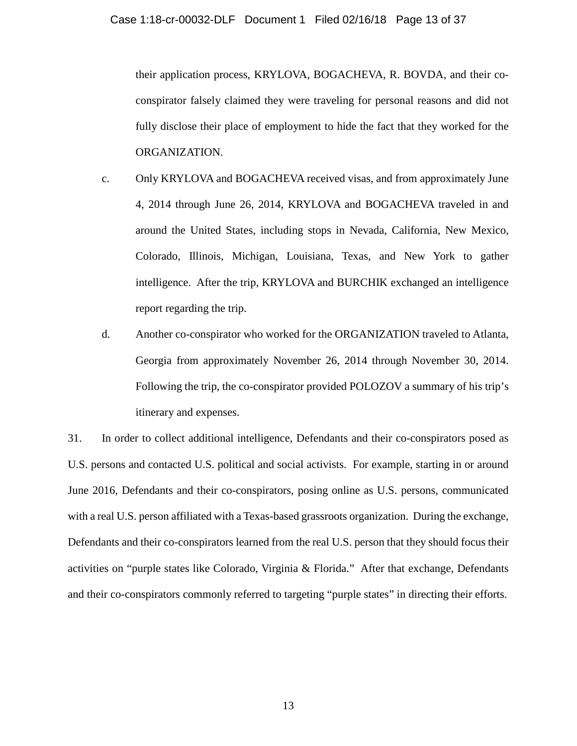their application process, KRYLOVA, BOGACHEVA, R. BOVDA, and their co- conspirator falsely claimed they were traveling for personal reasons and did not fully disclose their place of employment to hide the fact that they worked for the ORGANIZATION.

ORGANIZATION.<br>c. Only KRYLOVA and BOGACHEVA received visas, and from approximately June 4, 2014 through June 26, 2014, KRYLOVA and BOGACHEVA traveled in and around the United States, including stops in Nevada, California, New Mexico, Colorado, Illinois, Michigan, Louisiana, Texas, and New York to gather intelligence. After the trip, KRYLOVA and BURCHIK exchanged an intelligence report regarding the trip.

 d. Another co-conspirator who worked for the ORGANIZATION traveled to Atlanta, Georgia from approximately November 26, 2014 through November 30, 2014. Following the trip, the co-conspirator provided POLOZOV a summary of his trip's itinerary and expenses.

 31. In order to collect additional intelligence, Defendants and their co-conspirators posed as U.S. persons and contacted U.S. political and social activists. For example, starting in or around June 2016, Defendants and their co-conspirators, posing online as U.S. persons, communicated with a real U.S. person affiliated with a Texas-based grassroots organization. During the exchange, Defendants and their co-conspirators learned from the real U.S. person that they should focus their activities on "purple states like Colorado, Virginia & Florida." After that exchange, Defendants and their co-conspirators commonly referred to targeting "purple states" in directing their efforts.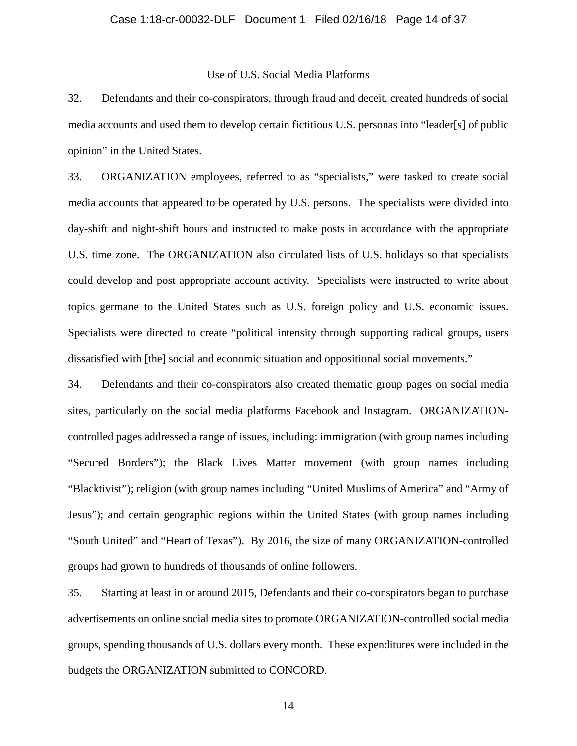#### Use of U.S. Social Media Platforms

 32. Defendants and their co-conspirators, through fraud and deceit, created hundreds of social media accounts and used them to develop certain fictitious U.S. personas into "leader[s] of public opinion" in the United States.

 33. ORGANIZATION employees, referred to as "specialists," were tasked to create social media accounts that appeared to be operated by U.S. persons. The specialists were divided into day-shift and night-shift hours and instructed to make posts in accordance with the appropriate U.S. time zone. The ORGANIZATION also circulated lists of U.S. holidays so that specialists could develop and post appropriate account activity. Specialists were instructed to write about topics germane to the United States such as U.S. foreign policy and U.S. economic issues. Specialists were directed to create "political intensity through supporting radical groups, users dissatisfied with [the] social and economic situation and oppositional social movements."

 34. Defendants and their co-conspirators also created thematic group pages on social media sites, particularly on the social media platforms Facebook and Instagram. ORGANIZATION- controlled pages addressed a range of issues, including: immigration (with group names including "Secured Borders"); the Black Lives Matter movement (with group names including "Blacktivist"); religion (with group names including "United Muslims of America" and "Army of Jesus"); and certain geographic regions within the United States (with group names including "South United" and "Heart of Texas"). By 2016, the size of many ORGANIZATION-controlled groups had grown to hundreds of thousands of online followers.

 35. Starting at least in or around 2015, Defendants and their co-conspirators began to purchase advertisements on online social media sites to promote ORGANIZATION-controlled social media groups, spending thousands of U.S. dollars every month. These expenditures were included in the budgets the ORGANIZATION submitted to CONCORD.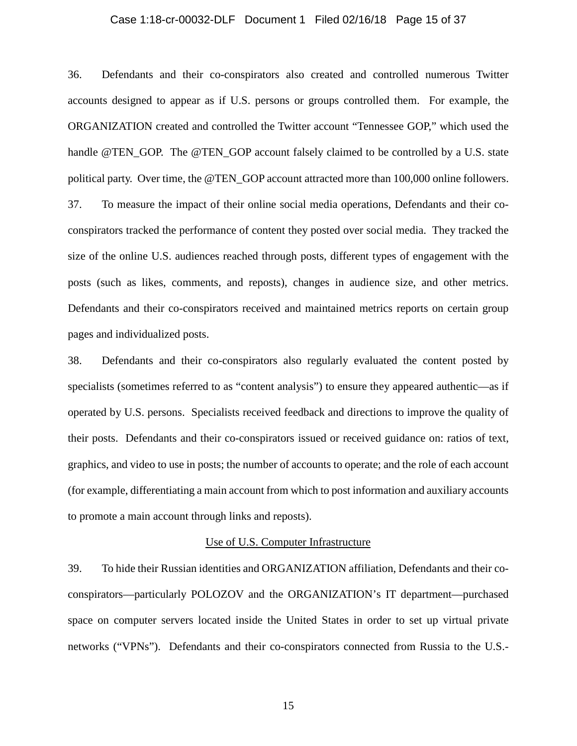# Case 1:18-cr-00032-DLF Document 1 Filed 02/16/18 Page 15 of 37

 36. Defendants and their co-conspirators also created and controlled numerous Twitter accounts designed to appear as if U.S. persons or groups controlled them. For example, the ORGANIZATION created and controlled the Twitter account "Tennessee GOP," which used the handle @TEN\_GOP. The @TEN\_GOP account falsely claimed to be controlled by a U.S. state political party. Over time, the @TEN\_GOP account attracted more than 100,000 online followers. 37. To measure the impact of their online social media operations, Defendants and their co- conspirators tracked the performance of content they posted over social media. They tracked the size of the online U.S. audiences reached through posts, different types of engagement with the posts (such as likes, comments, and reposts), changes in audience size, and other metrics. Defendants and their co-conspirators received and maintained metrics reports on certain group pages and individualized posts.

 38. Defendants and their co-conspirators also regularly evaluated the content posted by specialists (sometimes referred to as "content analysis") to ensure they appeared authentic—as if operated by U.S. persons. Specialists received feedback and directions to improve the quality of their posts. Defendants and their co-conspirators issued or received guidance on: ratios of text, graphics, and video to use in posts; the number of accounts to operate; and the role of each account (for example, differentiating a main account from which to post information and auxiliary accounts to promote a main account through links and reposts).

#### Use of U.S. Computer Infrastructure

 39. To hide their Russian identities and ORGANIZATION affiliation, Defendants and their co- conspirators—particularly POLOZOV and the ORGANIZATION's IT department—purchased space on computer servers located inside the United States in order to set up virtual private networks ("VPNs"). Defendants and their co-conspirators connected from Russia to the U.S.-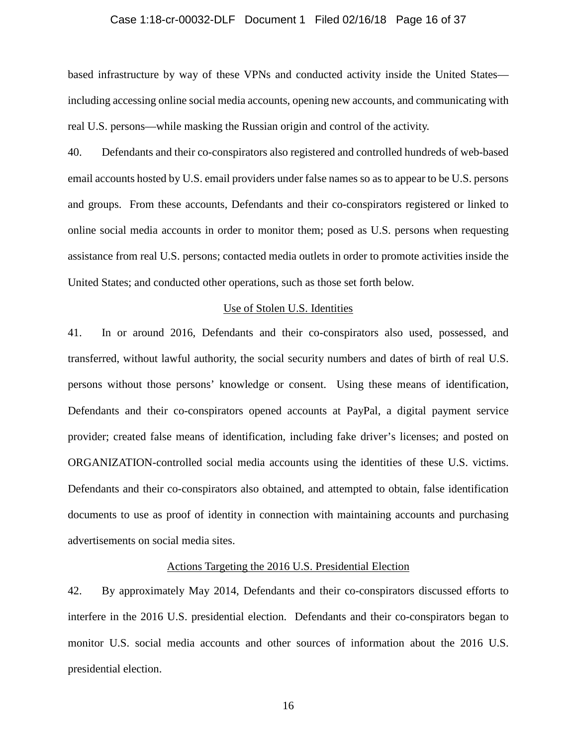# Case 1:18-cr-00032-DLF Document 1 Filed 02/16/18 Page 16 of 37

 based infrastructure by way of these VPNs and conducted activity inside the United States— including accessing online social media accounts, opening new accounts, and communicating with real U.S. persons—while masking the Russian origin and control of the activity.

 40. Defendants and their co-conspirators also registered and controlled hundreds of web-based email accounts hosted by U.S. email providers under false names so as to appear to be U.S. persons and groups. From these accounts, Defendants and their co-conspirators registered or linked to online social media accounts in order to monitor them; posed as U.S. persons when requesting assistance from real U.S. persons; contacted media outlets in order to promote activities inside the United States; and conducted other operations, such as those set forth below.

#### Use of Stolen U.S. Identities

 41. In or around 2016, Defendants and their co-conspirators also used, possessed, and transferred, without lawful authority, the social security numbers and dates of birth of real U.S. persons without those persons' knowledge or consent. Using these means of identification, Defendants and their co-conspirators opened accounts at PayPal, a digital payment service provider; created false means of identification, including fake driver's licenses; and posted on ORGANIZATION-controlled social media accounts using the identities of these U.S. victims. Defendants and their co-conspirators also obtained, and attempted to obtain, false identification documents to use as proof of identity in connection with maintaining accounts and purchasing advertisements on social media sites.

#### Actions Targeting the 2016 U.S. Presidential Election

 42. By approximately May 2014, Defendants and their co-conspirators discussed efforts to interfere in the 2016 U.S. presidential election. Defendants and their co-conspirators began to monitor U.S. social media accounts and other sources of information about the 2016 U.S. presidential election.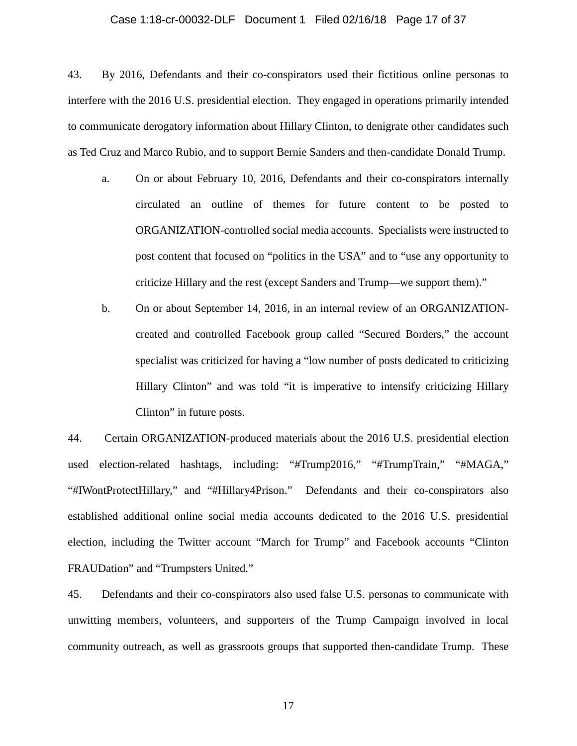# Case 1:18-cr-00032-DLF Document 1 Filed 02/16/18 Page 17 of 37

 43. By 2016, Defendants and their co-conspirators used their fictitious online personas to interfere with the 2016 U.S. presidential election. They engaged in operations primarily intended to communicate derogatory information about Hillary Clinton, to denigrate other candidates such as Ted Cruz and Marco Rubio, and to support Bernie Sanders and then-candidate Donald Trump.

- a. On or about February 10, 2016, Defendants and their co-conspirators internally circulated an outline of themes for future content to be posted to ORGANIZATION-controlled social media accounts. Specialists were instructed to post content that focused on "politics in the USA" and to "use any opportunity to criticize Hillary and the rest (except Sanders and Trump—we support them)."
- b. On or about September 14, 2016, in an internal review of an ORGANIZATION- created and controlled Facebook group called "Secured Borders," the account specialist was criticized for having a "low number of posts dedicated to criticizing Hillary Clinton" and was told "it is imperative to intensify criticizing Hillary Clinton" in future posts.

 44. Certain ORGANIZATION-produced materials about the 2016 U.S. presidential election used election-related hashtags, including: "#Trump2016," "#TrumpTrain," "#MAGA," "#IWontProtectHillary," and "#Hillary4Prison." Defendants and their co-conspirators also established additional online social media accounts dedicated to the 2016 U.S. presidential election, including the Twitter account "March for Trump" and Facebook accounts "Clinton FRAUDation" and "Trumpsters United."

 45. Defendants and their co-conspirators also used false U.S. personas to communicate with unwitting members, volunteers, and supporters of the Trump Campaign involved in local community outreach, as well as grassroots groups that supported then-candidate Trump. These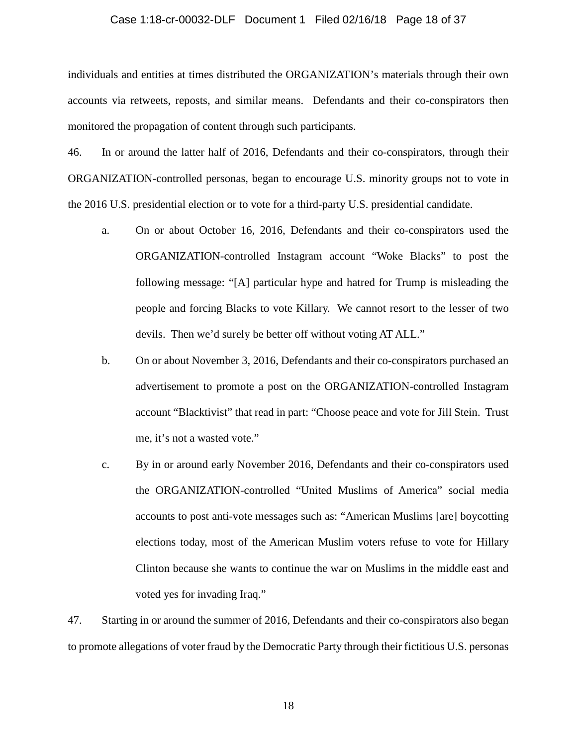### Case 1:18-cr-00032-DLF Document 1 Filed 02/16/18 Page 18 of 37

 individuals and entities at times distributed the ORGANIZATION's materials through their own accounts via retweets, reposts, and similar means. Defendants and their co-conspirators then monitored the propagation of content through such participants.

 46. In or around the latter half of 2016, Defendants and their co-conspirators, through their ORGANIZATION-controlled personas, began to encourage U.S. minority groups not to vote in the 2016 U.S. presidential election or to vote for a third-party U.S. presidential candidate.

- a. On or about October 16, 2016, Defendants and their co-conspirators used the ORGANIZATION-controlled Instagram account "Woke Blacks" to post the following message: "[A] particular hype and hatred for Trump is misleading the people and forcing Blacks to vote Killary. We cannot resort to the lesser of two devils. Then we'd surely be better off without voting AT ALL."
- b. On or about November 3, 2016, Defendants and their co-conspirators purchased an advertisement to promote a post on the ORGANIZATION-controlled Instagram account "Blacktivist" that read in part: "Choose peace and vote for Jill Stein. Trust me, it's not a wasted vote."
- c. By in or around early November 2016, Defendants and their co-conspirators used the ORGANIZATION-controlled "United Muslims of America" social media accounts to post anti-vote messages such as: "American Muslims [are] boycotting elections today, most of the American Muslim voters refuse to vote for Hillary Clinton because she wants to continue the war on Muslims in the middle east and voted yes for invading Iraq."

 47. Starting in or around the summer of 2016, Defendants and their co-conspirators also began to promote allegations of voter fraud by the Democratic Party through their fictitious U.S. personas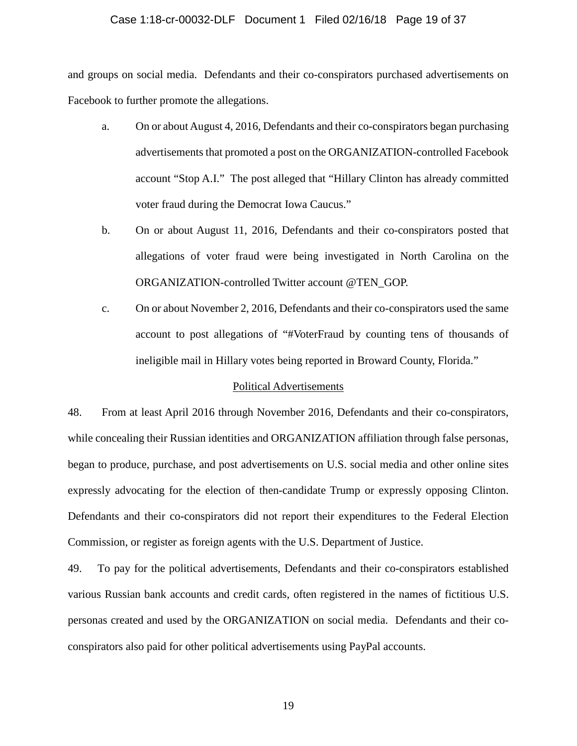### Case 1:18-cr-00032-DLF Document 1 Filed 02/16/18 Page 19 of 37

 and groups on social media. Defendants and their co-conspirators purchased advertisements on Facebook to further promote the allegations.

- a. On or about August 4, 2016, Defendants and their co-conspirators began purchasing advertisements that promoted a post on the ORGANIZATION-controlled Facebook account "Stop A.I." The post alleged that "Hillary Clinton has already committed voter fraud during the Democrat Iowa Caucus."
- b. On or about August 11, 2016, Defendants and their co-conspirators posted that allegations of voter fraud were being investigated in North Carolina on the ORGANIZATION-controlled Twitter account @TEN\_GOP.
- c. On or about November 2, 2016, Defendants and their co-conspirators used the same account to post allegations of "#VoterFraud by counting tens of thousands of ineligible mail in Hillary votes being reported in Broward County, Florida."

#### Political Advertisements

 48. From at least April 2016 through November 2016, Defendants and their co-conspirators, while concealing their Russian identities and ORGANIZATION affiliation through false personas, began to produce, purchase, and post advertisements on U.S. social media and other online sites expressly advocating for the election of then-candidate Trump or expressly opposing Clinton. Defendants and their co-conspirators did not report their expenditures to the Federal Election Commission, or register as foreign agents with the U.S. Department of Justice.

 49. To pay for the political advertisements, Defendants and their co-conspirators established various Russian bank accounts and credit cards, often registered in the names of fictitious U.S. personas created and used by the ORGANIZATION on social media. Defendants and their co-conspirators also paid for other political advertisements using PayPal accounts.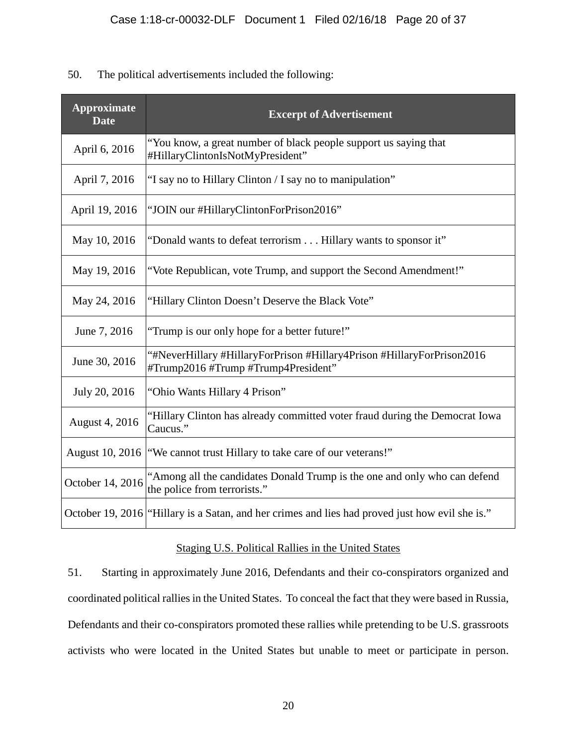# 50. The political advertisements included the following:

| <b>Approximate</b><br><b>Date</b> | <b>Excerpt of Advertisement</b>                                                                               |
|-----------------------------------|---------------------------------------------------------------------------------------------------------------|
| April 6, 2016                     | "You know, a great number of black people support us saying that<br>#HillaryClintonIsNotMyPresident"          |
| April 7, 2016                     | "I say no to Hillary Clinton / I say no to manipulation"                                                      |
| April 19, 2016                    | "JOIN our #HillaryClintonForPrison2016"                                                                       |
| May 10, 2016                      | "Donald wants to defeat terrorism Hillary wants to sponsor it"                                                |
| May 19, 2016                      | "Vote Republican, vote Trump, and support the Second Amendment!"                                              |
| May 24, 2016                      | "Hillary Clinton Doesn't Deserve the Black Vote"                                                              |
| June 7, 2016                      | "Trump is our only hope for a better future!"                                                                 |
| June 30, 2016                     | "#NeverHillary #HillaryForPrison #Hillary4Prison #HillaryForPrison2016<br>#Trump2016 #Trump #Trump4President" |
| July 20, 2016                     | "Ohio Wants Hillary 4 Prison"                                                                                 |
| August 4, 2016                    | "Hillary Clinton has already committed voter fraud during the Democrat Iowa<br>Caucus."                       |
|                                   | August 10, 2016   "We cannot trust Hillary to take care of our veterans!"                                     |
| October 14, 2016                  | "Among all the candidates Donald Trump is the one and only who can defend<br>the police from terrorists."     |
|                                   | October 19, 2016 "Hillary is a Satan, and her crimes and lies had proved just how evil she is."               |

# Staging U.S. Political Rallies in the United States

 51. Starting in approximately June 2016, Defendants and their co-conspirators organized and coordinated political rallies in the United States. To conceal the fact that they were based in Russia, Defendants and their co-conspirators promoted these rallies while pretending to be U.S. grassroots activists who were located in the United States but unable to meet or participate in person.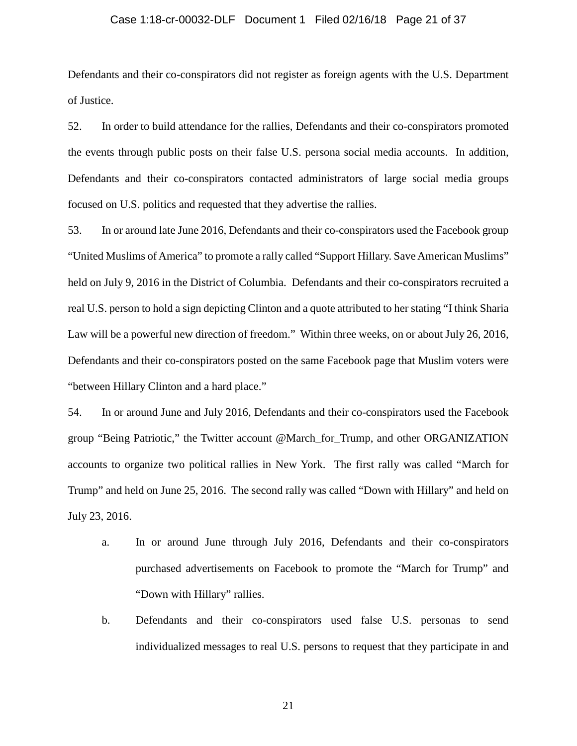# Case 1:18-cr-00032-DLF Document 1 Filed 02/16/18 Page 21 of 37

 Defendants and their co-conspirators did not register as foreign agents with the U.S. Department of Justice.

 52. In order to build attendance for the rallies, Defendants and their co-conspirators promoted the events through public posts on their false U.S. persona social media accounts. In addition, Defendants and their co-conspirators contacted administrators of large social media groups focused on U.S. politics and requested that they advertise the rallies.

 53. In or around late June 2016, Defendants and their co-conspirators used the Facebook group "United Muslims of America" to promote a rally called "Support Hillary. Save American Muslims" held on July 9, 2016 in the District of Columbia. Defendants and their co-conspirators recruited a real U.S. person to hold a sign depicting Clinton and a quote attributed to her stating "I think Sharia Law will be a powerful new direction of freedom." Within three weeks, on or about July 26, 2016, Defendants and their co-conspirators posted on the same Facebook page that Muslim voters were "between Hillary Clinton and a hard place."

 54. In or around June and July 2016, Defendants and their co-conspirators used the Facebook group "Being Patriotic," the Twitter account @March\_for\_Trump, and other ORGANIZATION accounts to organize two political rallies in New York. The first rally was called "March for Trump" and held on June 25, 2016. The second rally was called "Down with Hillary" and held on July 23, 2016.

- a. In or around June through July 2016, Defendants and their co-conspirators purchased advertisements on Facebook to promote the "March for Trump" and "Down with Hillary" rallies.
- b. Defendants and their co-conspirators used false U.S. personas to send individualized messages to real U.S. persons to request that they participate in and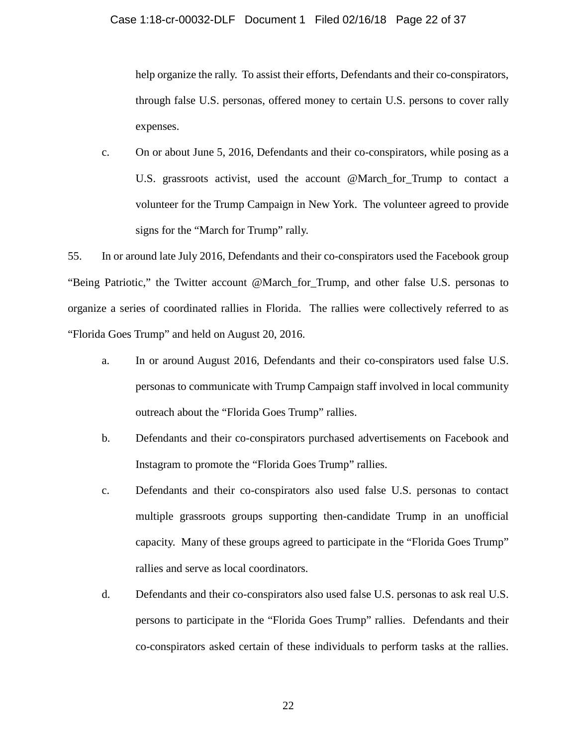help organize the rally. To assist their efforts, Defendants and their co-conspirators, through false U.S. personas, offered money to certain U.S. persons to cover rally expenses.

expenses.<br>c. On or about June 5, 2016, Defendants and their co-conspirators, while posing as a U.S. grassroots activist, used the account @March\_for\_Trump to contact a volunteer for the Trump Campaign in New York. The volunteer agreed to provide signs for the "March for Trump" rally.

 55. In or around late July 2016, Defendants and their co-conspirators used the Facebook group "Being Patriotic," the Twitter account @March\_for\_Trump, and other false U.S. personas to organize a series of coordinated rallies in Florida. The rallies were collectively referred to as "Florida Goes Trump" and held on August 20, 2016.

- a. In or around August 2016, Defendants and their co-conspirators used false U.S. personas to communicate with Trump Campaign staff involved in local community outreach about the "Florida Goes Trump" rallies.
- b. Defendants and their co-conspirators purchased advertisements on Facebook and Instagram to promote the "Florida Goes Trump" rallies.
- c. Defendants and their co-conspirators also used false U.S. personas to contact multiple grassroots groups supporting then-candidate Trump in an unofficial capacity. Many of these groups agreed to participate in the "Florida Goes Trump" rallies and serve as local coordinators.
- d. Defendants and their co-conspirators also used false U.S. personas to ask real U.S. persons to participate in the "Florida Goes Trump" rallies. Defendants and their co-conspirators asked certain of these individuals to perform tasks at the rallies.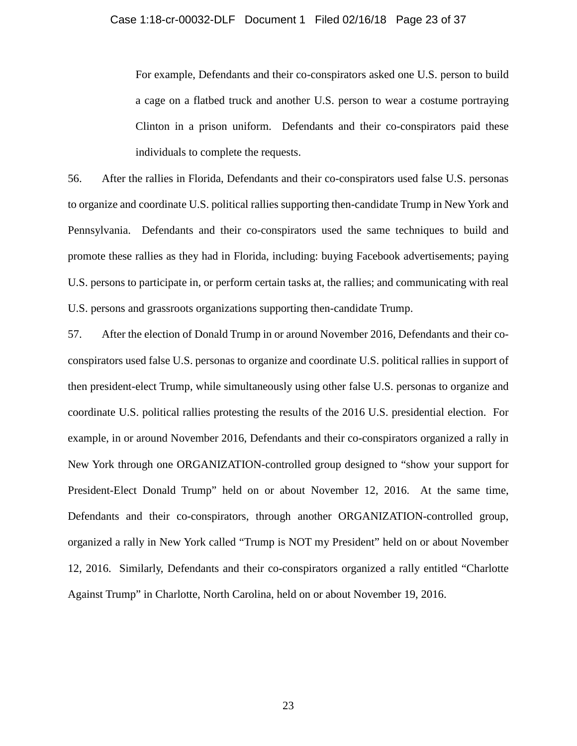For example, Defendants and their co-conspirators asked one U.S. person to build a cage on a flatbed truck and another U.S. person to wear a costume portraying Clinton in a prison uniform. Defendants and their co-conspirators paid these individuals to complete the requests.

 56. After the rallies in Florida, Defendants and their co-conspirators used false U.S. personas to organize and coordinate U.S. political rallies supporting then-candidate Trump in New York and Pennsylvania. Defendants and their co-conspirators used the same techniques to build and promote these rallies as they had in Florida, including: buying Facebook advertisements; paying U.S. persons to participate in, or perform certain tasks at, the rallies; and communicating with real U.S. persons and grassroots organizations supporting then-candidate Trump.

 57. After the election of Donald Trump in or around November 2016, Defendants and their co- conspirators used false U.S. personas to organize and coordinate U.S. political rallies in support of then president-elect Trump, while simultaneously using other false U.S. personas to organize and coordinate U.S. political rallies protesting the results of the 2016 U.S. presidential election. For example, in or around November 2016, Defendants and their co-conspirators organized a rally in New York through one ORGANIZATION-controlled group designed to "show your support for President-Elect Donald Trump" held on or about November 12, 2016. At the same time, Defendants and their co-conspirators, through another ORGANIZATION-controlled group, organized a rally in New York called "Trump is NOT my President" held on or about November 12, 2016. Similarly, Defendants and their co-conspirators organized a rally entitled "Charlotte Against Trump" in Charlotte, North Carolina, held on or about November 19, 2016.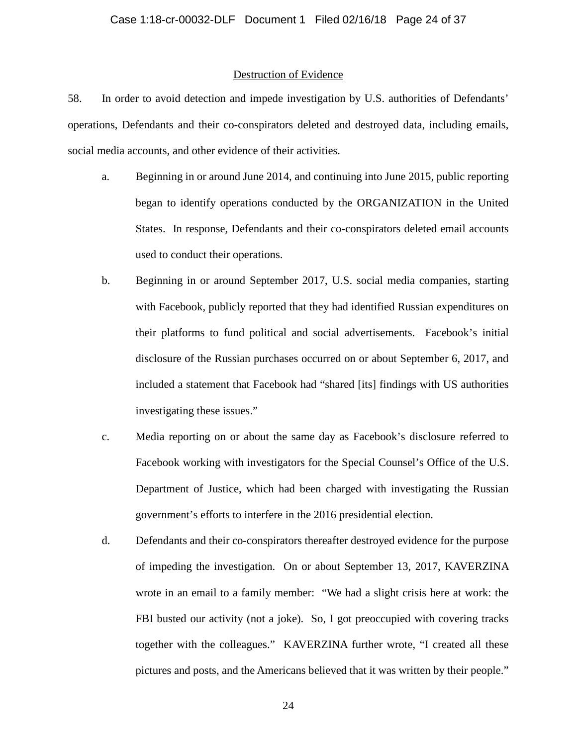#### Destruction of Evidence

<span id="page-23-0"></span> 58. In order to avoid detection and impede investigation by U.S. authorities of Defendants' operations, Defendants and their co-conspirators deleted and destroyed data, including emails, social media accounts, and other evidence of their activities.

- a. Beginning in or around June 2014, and continuing into June 2015, public reporting began to identify operations conducted by the ORGANIZATION in the United States. In response, Defendants and their co-conspirators deleted email accounts used to conduct their operations.
- b. Beginning in or around September 2017, U.S. social media companies, starting with Facebook, publicly reported that they had identified Russian expenditures on their platforms to fund political and social advertisements. Facebook's initial disclosure of the Russian purchases occurred on or about September 6, 2017, and included a statement that Facebook had "shared [its] findings with US authorities investigating these issues."
- c. Media reporting on or about the same day as Facebook's disclosure referred to Facebook working with investigators for the Special Counsel's Office of the U.S. Department of Justice, which had been charged with investigating the Russian government's efforts to interfere in the 2016 presidential election.
- d. Defendants and their co-conspirators thereafter destroyed evidence for the purpose of impeding the investigation. On or about September 13, 2017, KAVERZINA wrote in an email to a family member: "We had a slight crisis here at work: the FBI busted our activity (not a joke). So, I got preoccupied with covering tracks together with the colleagues." KAVERZINA further wrote, "I created all these pictures and posts, and the Americans believed that it was written by their people."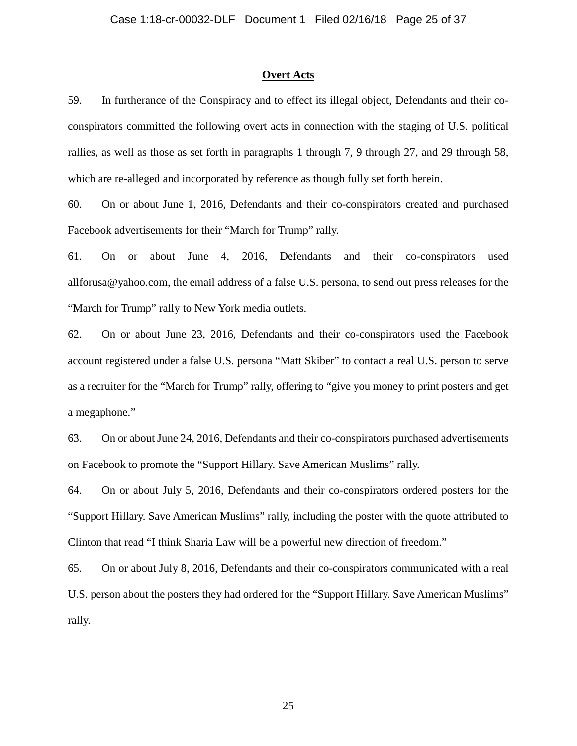#### **Overt Acts**

59. In furtherance of the Conspiracy and to effect its illegal object, Defendants and their coconspirators committed the following overt acts in connection with the staging of U.S. political rallies, as well as those as set forth in paragraphs 1 through 7, 9 through [27,](#page-10-0) and [29](#page-11-0) through [58,](#page-23-0) which are re-alleged and incorporated by reference as though fully set forth herein.

60. On or about June 1, 2016, Defendants and their co-conspirators created and purchased Facebook advertisements for their "March for Trump" rally.

61. On or about June 4, 2016, Defendants and their co-conspirators used allforusa@yahoo.com, the email address of a false U.S. persona, to send out press releases for the "March for Trump" rally to New York media outlets.

62. On or about June 23, 2016, Defendants and their co-conspirators used the Facebook account registered under a false U.S. persona "Matt Skiber" to contact a real U.S. person to serve as a recruiter for the "March for Trump" rally, offering to "give you money to print posters and get a megaphone."

63. On or about June 24, 2016, Defendants and their co-conspirators purchased advertisements on Facebook to promote the "Support Hillary. Save American Muslims" rally.

64. On or about July 5, 2016, Defendants and their co-conspirators ordered posters for the "Support Hillary. Save American Muslims" rally, including the poster with the quote attributed to Clinton that read "I think Sharia Law will be a powerful new direction of freedom."

65. On or about July 8, 2016, Defendants and their co-conspirators communicated with a real U.S. person about the posters they had ordered for the "Support Hillary. Save American Muslims" rally.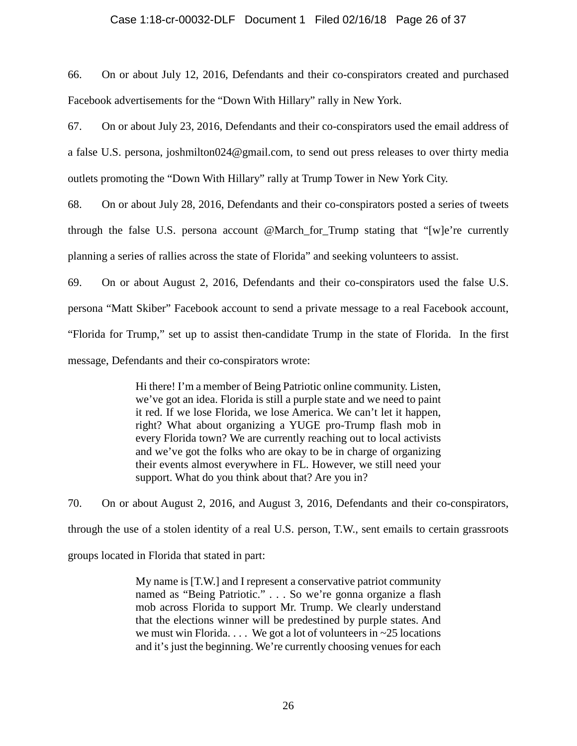### Case 1:18-cr-00032-DLF Document 1 Filed 02/16/18 Page 26 of 37

 66. On or about July 12, 2016, Defendants and their co-conspirators created and purchased Facebook advertisements for the "Down With Hillary" rally in New York.

 67. On or about July 23, 2016, Defendants and their co-conspirators used the email address of a false U.S. persona, joshmilton024@gmail.com, to send out press releases to over thirty media outlets promoting the "Down With Hillary" rally at Trump Tower in New York City.

 68. On or about July 28, 2016, Defendants and their co-conspirators posted a series of tweets through the false U.S. persona account @March\_for\_Trump stating that "[w]e're currently planning a series of rallies across the state of Florida" and seeking volunteers to assist.

 69. On or about August 2, 2016, Defendants and their co-conspirators used the false U.S. persona "Matt Skiber" Facebook account to send a private message to a real Facebook account, "Florida for Trump," set up to assist then-candidate Trump in the state of Florida. In the first message, Defendants and their co-conspirators wrote:

> Hi there! I'm a member of Being Patriotic online community. Listen, we've got an idea. Florida is still a purple state and we need to paint it red. If we lose Florida, we lose America. We can't let it happen, right? What about organizing a YUGE pro-Trump flash mob in every Florida town? We are currently reaching out to local activists and we've got the folks who are okay to be in charge of organizing their events almost everywhere in FL. However, we still need your support. What do you think about that? Are you in?

 70. On or about August 2, 2016, and August 3, 2016, Defendants and their co-conspirators, through the use of a stolen identity of a real U.S. person, T.W., sent emails to certain grassroots groups located in Florida that stated in part:

> My name is [T.W.] and I represent a conservative patriot community named as "Being Patriotic." . . . So we're gonna organize a flash mob across Florida to support Mr. Trump. We clearly understand that the elections winner will be predestined by purple states. And we must win Florida.  $\dots$  We got a lot of volunteers in ~25 locations and it's just the beginning. We're currently choosing venues for each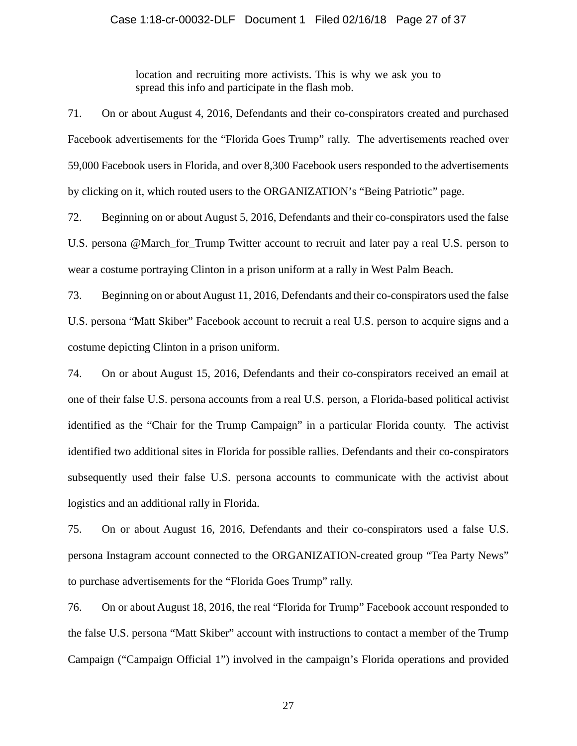location and recruiting more activists. This is why we ask you to spread this info and participate in the flash mob.

 71. On or about August 4, 2016, Defendants and their co-conspirators created and purchased Facebook advertisements for the "Florida Goes Trump" rally. The advertisements reached over 59,000 Facebook users in Florida, and over 8,300 Facebook users responded to the advertisements by clicking on it, which routed users to the ORGANIZATION's "Being Patriotic" page.

 72. Beginning on or about August 5, 2016, Defendants and their co-conspirators used the false U.S. persona @March\_for\_Trump Twitter account to recruit and later pay a real U.S. person to wear a costume portraying Clinton in a prison uniform at a rally in West Palm Beach.

 73. Beginning on or about August 11, 2016, Defendants and their co-conspirators used the false U.S. persona "Matt Skiber" Facebook account to recruit a real U.S. person to acquire signs and a costume depicting Clinton in a prison uniform.

 74. On or about August 15, 2016, Defendants and their co-conspirators received an email at one of their false U.S. persona accounts from a real U.S. person, a Florida-based political activist identified as the "Chair for the Trump Campaign" in a particular Florida county. The activist identified two additional sites in Florida for possible rallies. Defendants and their co-conspirators subsequently used their false U.S. persona accounts to communicate with the activist about logistics and an additional rally in Florida.

 75. On or about August 16, 2016, Defendants and their co-conspirators used a false U.S. persona Instagram account connected to the ORGANIZATION-created group "Tea Party News" to purchase advertisements for the "Florida Goes Trump" rally.

 76. On or about August 18, 2016, the real "Florida for Trump" Facebook account responded to the false U.S. persona "Matt Skiber" account with instructions to contact a member of the Trump Campaign ("Campaign Official 1") involved in the campaign's Florida operations and provided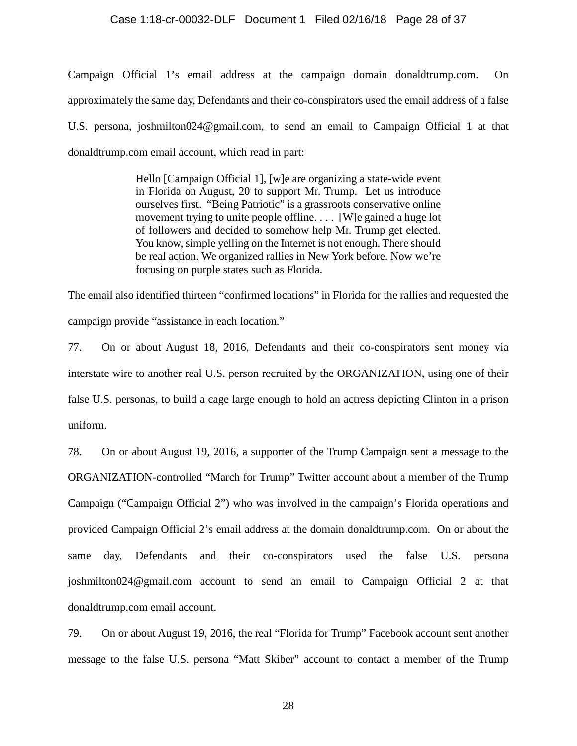### Case 1:18-cr-00032-DLF Document 1 Filed 02/16/18 Page 28 of 37

 Campaign Official 1's email address at the campaign domain donaldtrump.com. On approximately the same day, Defendants and their co-conspirators used the email address of a false U.S. persona, joshmilton024@gmail.com, to send an email to Campaign Official 1 at that donaldtrump.com email account, which read in part:

> Hello [Campaign Official 1], [w]e are organizing a state-wide event in Florida on August, 20 to support Mr. Trump. Let us introduce ourselves first. "Being Patriotic" is a grassroots conservative online movement trying to unite people offline. . . . [W]e gained a huge lot of followers and decided to somehow help Mr. Trump get elected. You know, simple yelling on the Internet is not enough. There should be real action. We organized rallies in New York before. Now we're focusing on purple states such as Florida.

 The email also identified thirteen "confirmed locations" in Florida for the rallies and requested the campaign provide "assistance in each location."

 77. On or about August 18, 2016, Defendants and their co-conspirators sent money via interstate wire to another real U.S. person recruited by the ORGANIZATION, using one of their false U.S. personas, to build a cage large enough to hold an actress depicting Clinton in a prison uniform.

uniform.<br>78. On or about August 19, 2016, a supporter of the Trump Campaign sent a message to the ORGANIZATION-controlled "March for Trump" Twitter account about a member of the Trump Campaign ("Campaign Official 2") who was involved in the campaign's Florida operations and provided Campaign Official 2's email address at the domain donaldtrump.com. On or about the same joshmilton024@gmail.com account to send an email to Campaign Official 2 at that donaldtrump.com email account. day, Defendants and their co-conspirators used the false U.S. personal

 79. On or about August 19, 2016, the real "Florida for Trump" Facebook account sent another message to the false U.S. persona "Matt Skiber" account to contact a member of the Trump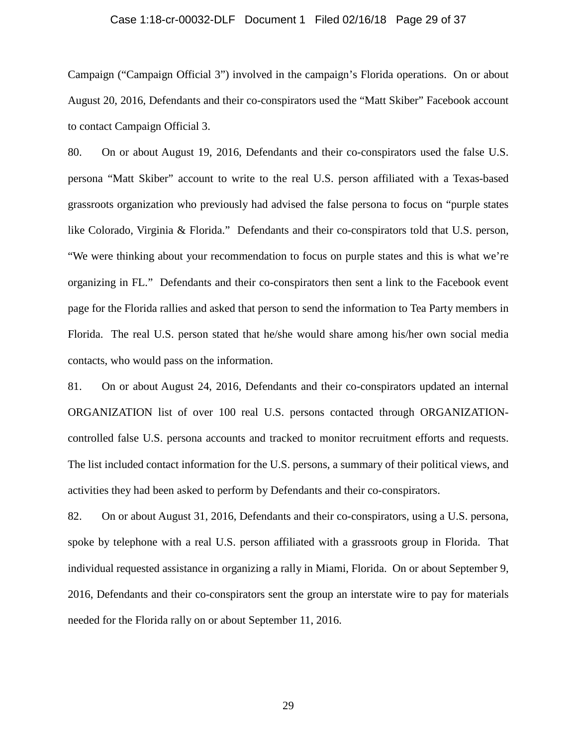# Case 1:18-cr-00032-DLF Document 1 Filed 02/16/18 Page 29 of 37

 Campaign ("Campaign Official 3") involved in the campaign's Florida operations. On or about August 20, 2016, Defendants and their co-conspirators used the "Matt Skiber" Facebook account to contact Campaign Official 3.

 80. On or about August 19, 2016, Defendants and their co-conspirators used the false U.S. persona "Matt Skiber" account to write to the real U.S. person affiliated with a Texas-based grassroots organization who previously had advised the false persona to focus on "purple states like Colorado, Virginia & Florida." Defendants and their co-conspirators told that U.S. person, "We were thinking about your recommendation to focus on purple states and this is what we're organizing in FL." Defendants and their co-conspirators then sent a link to the Facebook event page for the Florida rallies and asked that person to send the information to Tea Party members in Florida. The real U.S. person stated that he/she would share among his/her own social media contacts, who would pass on the information.

 81. On or about August 24, 2016, Defendants and their co-conspirators updated an internal ORGANIZATION list of over 100 real U.S. persons contacted through ORGANIZATION- controlled false U.S. persona accounts and tracked to monitor recruitment efforts and requests. The list included contact information for the U.S. persons, a summary of their political views, and activities they had been asked to perform by Defendants and their co-conspirators.

 82. On or about August 31, 2016, Defendants and their co-conspirators, using a U.S. persona, spoke by telephone with a real U.S. person affiliated with a grassroots group in Florida. That individual requested assistance in organizing a rally in Miami, Florida. On or about September 9, 2016, Defendants and their co-conspirators sent the group an interstate wire to pay for materials needed for the Florida rally on or about September 11, 2016.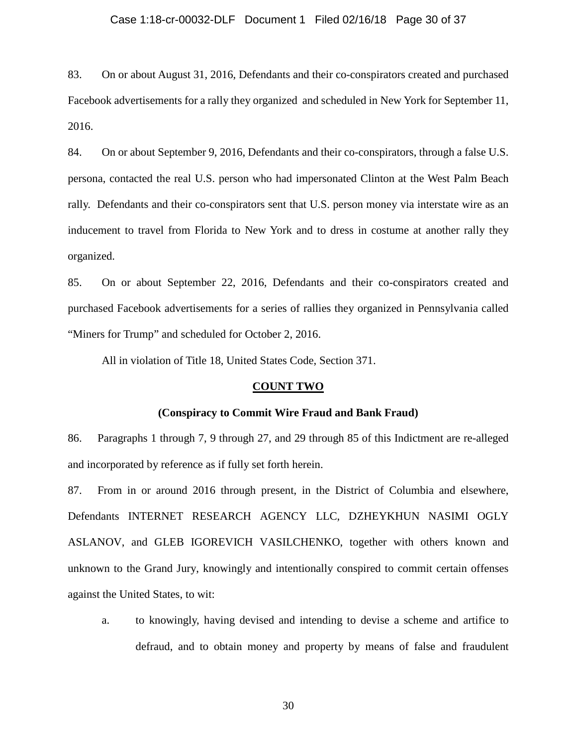### Case 1:18-cr-00032-DLF Document 1 Filed 02/16/18 Page 30 of 37

 83. On or about August 31, 2016, Defendants and their co-conspirators created and purchased Facebook advertisements for a rally they organized and scheduled in New York for September 11, 2016.

2016.<br>84. On or about September 9, 2016, Defendants and their co-conspirators, through a false U.S. persona, contacted the real U.S. person who had impersonated Clinton at the West Palm Beach rally. Defendants and their co-conspirators sent that U.S. person money via interstate wire as an inducement to travel from Florida to New York and to dress in costume at another rally they organized.

<span id="page-29-0"></span>organized.<br>85. On or about September 22, 2016, Defendants and their co-conspirators created and purchased Facebook advertisements for a series of rallies they organized in Pennsylvania called "Miners for Trump" and scheduled for October 2, 2016.

All in violation of Title 18, United States Code, Section 371.

#### **COUNT TWO**

#### **(Conspiracy to Commit Wire Fraud and Bank Fraud)**

 86. Paragraphs 1 through 7, 9 through [27,](#page-10-0) and [29](#page-11-0) through [85](#page-29-0) of this Indictment are re-alleged and incorporated by reference as if fully set forth herein.

 87. From in or around 2016 through present, in the District of Columbia and elsewhere, Defendants INTERNET RESEARCH AGENCY LLC, DZHEYKHUN NASIMI OGLY ASLANOV, and GLEB IGOREVICH VASILCHENKO, together with others known and unknown to the Grand Jury, knowingly and intentionally conspired to commit certain offenses against the United States, to wit:

 a. to knowingly, having devised and intending to devise a scheme and artifice to defraud, and to obtain money and property by means of false and fraudulent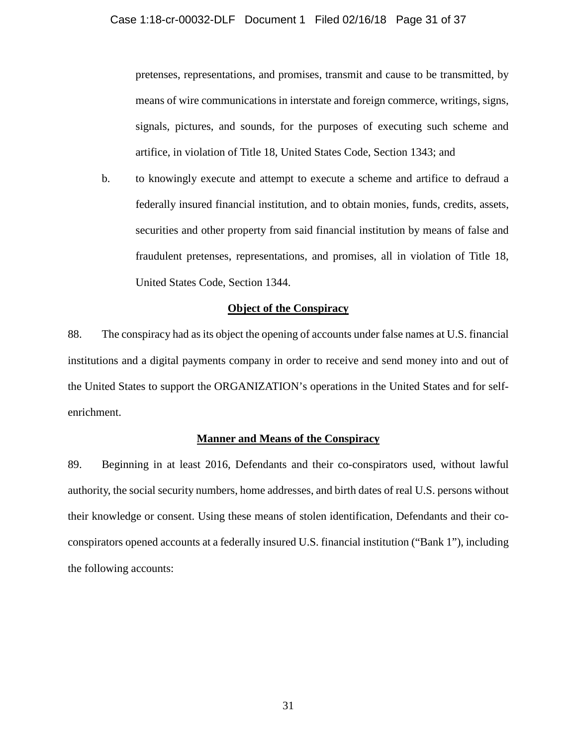pretenses, representations, and promises, transmit and cause to be transmitted, by means of wire communications in interstate and foreign commerce, writings, signs, signals, pictures, and sounds, for the purposes of executing such scheme and artifice, in violation of Title 18, United States Code, Section 1343; and

b. to knowingly execute and attempt to execute a scheme and artifice to defraud a federally insured financial institution, and to obtain monies, funds, credits, assets, securities and other property from said financial institution by means of false and fraudulent pretenses, representations, and promises, all in violation of Title 18, United States Code, Section 1344.

### **Object of the Conspiracy**

88. The conspiracy had as its object the opening of accounts under false names at U.S. financial institutions and a digital payments company in order to receive and send money into and out of the United States to support the ORGANIZATION's operations in the United States and for selfenrichment.

### **Manner and Means of the Conspiracy**

<span id="page-30-0"></span>89. Beginning in at least 2016, Defendants and their co-conspirators used, without lawful authority, the social security numbers, home addresses, and birth dates of real U.S. persons without their knowledge or consent. Using these means of stolen identification, Defendants and their coconspirators opened accounts at a federally insured U.S. financial institution ("Bank 1"), including the following accounts: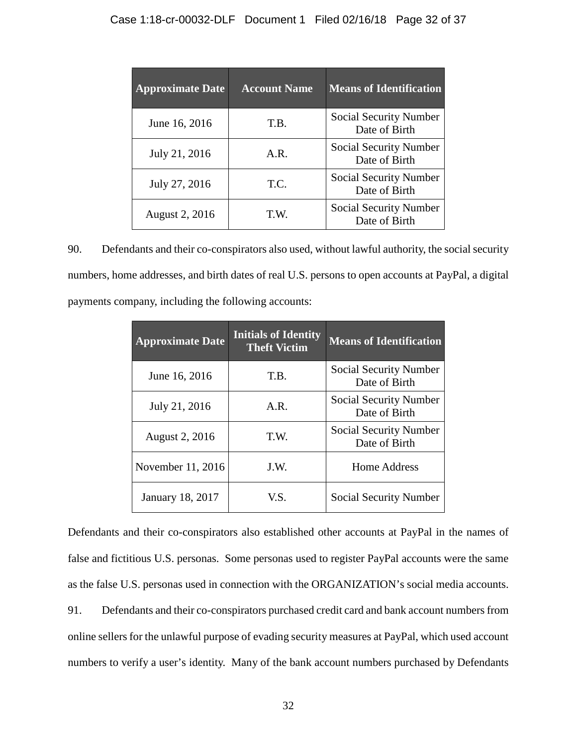| <b>Approximate Date</b> | <b>Account Name</b> | <b>Means of Identification</b>          |
|-------------------------|---------------------|-----------------------------------------|
| June 16, 2016           | T.B.                | Social Security Number<br>Date of Birth |
| July 21, 2016           | A.R.                | Social Security Number<br>Date of Birth |
| July 27, 2016           | T.C.                | Social Security Number<br>Date of Birth |
| August 2, 2016          | T.W.                | Social Security Number<br>Date of Birth |

 90. Defendants and their co-conspirators also used, without lawful authority, the social security numbers, home addresses, and birth dates of real U.S. persons to open accounts at PayPal, a digital payments company, including the following accounts:

| <b>Approximate Date</b> | <b>Initials of Identity</b><br><b>Theft Victim</b> | <b>Means of Identification</b>          |
|-------------------------|----------------------------------------------------|-----------------------------------------|
| June 16, 2016           | T.B.                                               | Social Security Number<br>Date of Birth |
| July 21, 2016           | A.R.                                               | Social Security Number<br>Date of Birth |
| August 2, 2016          | T.W.                                               | Social Security Number<br>Date of Birth |
| November 11, 2016       | J.W.                                               | <b>Home Address</b>                     |
| <b>January 18, 2017</b> | V.S.                                               | Social Security Number                  |

 Defendants and their co-conspirators also established other accounts at PayPal in the names of false and fictitious U.S. personas. Some personas used to register PayPal accounts were the same as the false U.S. personas used in connection with the ORGANIZATION's social media accounts. 91. Defendants and their co-conspirators purchased credit card and bank account numbers from online sellers for the unlawful purpose of evading security measures at PayPal, which used account numbers to verify a user's identity. Many of the bank account numbers purchased by Defendants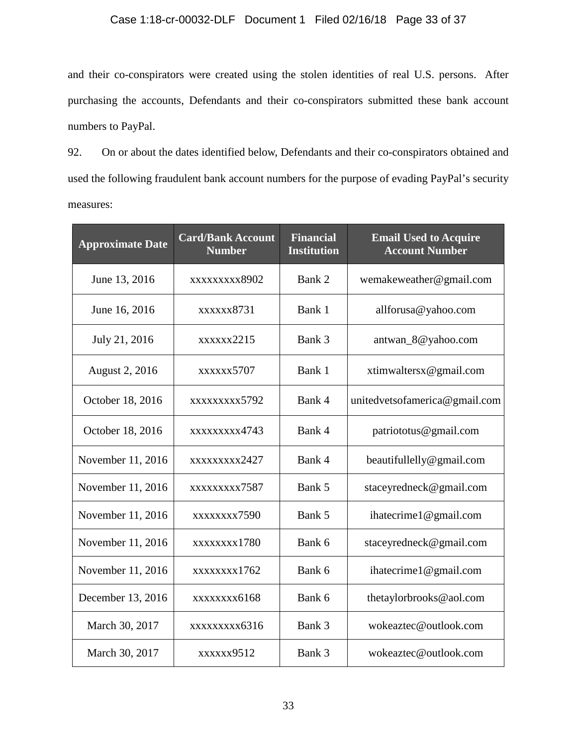# Case 1:18-cr-00032-DLF Document 1 Filed 02/16/18 Page 33 of 37

 and their co-conspirators were created using the stolen identities of real U.S. persons. After purchasing the accounts, Defendants and their co-conspirators submitted these bank account numbers to PayPal.

 92. On or about the dates identified below, Defendants and their co-conspirators obtained and used the following fraudulent bank account numbers for the purpose of evading PayPal's security measures:

| <b>Approximate Date</b> | <b>Card/Bank Account</b><br><b>Number</b> | <b>Financial</b><br><b>Institution</b> | <b>Email Used to Acquire</b><br><b>Account Number</b> |
|-------------------------|-------------------------------------------|----------------------------------------|-------------------------------------------------------|
| June 13, 2016           | xxxxxxxx8902                              | Bank 2                                 | wemakeweather@gmail.com                               |
| June 16, 2016           | xxxxxx8731                                | Bank 1                                 | allforusa@yahoo.com                                   |
| July 21, 2016           | xxxxxx2215                                | Bank 3                                 | antwan_8@yahoo.com                                    |
| August 2, 2016          | xxxxxx5707                                | Bank 1                                 | xtimwaltersx@gmail.com                                |
| October 18, 2016        | xxxxxxxxx5792                             | Bank 4                                 | unitedvetsofamerica@gmail.com                         |
| October 18, 2016        | xxxxxxxx4743                              | Bank 4                                 | patriototus@gmail.com                                 |
| November 11, 2016       | xxxxxxxxx2427                             | Bank 4                                 | beautifullelly@gmail.com                              |
| November 11, 2016       | xxxxxxxxx7587                             | Bank 5                                 | staceyredneck@gmail.com                               |
| November 11, 2016       | xxxxxxxx7590                              | Bank 5                                 | ihatecrime1@gmail.com                                 |
| November 11, 2016       | xxxxxxxx1780                              | Bank 6                                 | staceyredneck@gmail.com                               |
| November 11, 2016       | xxxxxxxx1762                              | Bank 6                                 | ihatecrime1@gmail.com                                 |
| December 13, 2016       | xxxxxxxx6168                              | Bank 6                                 | thetaylorbrooks@aol.com                               |
| March 30, 2017          | xxxxxxxxx6316                             | Bank 3                                 | wokeaztec@outlook.com                                 |
| March 30, 2017          | xxxxxx9512                                | Bank 3                                 | wokeaztec@outlook.com                                 |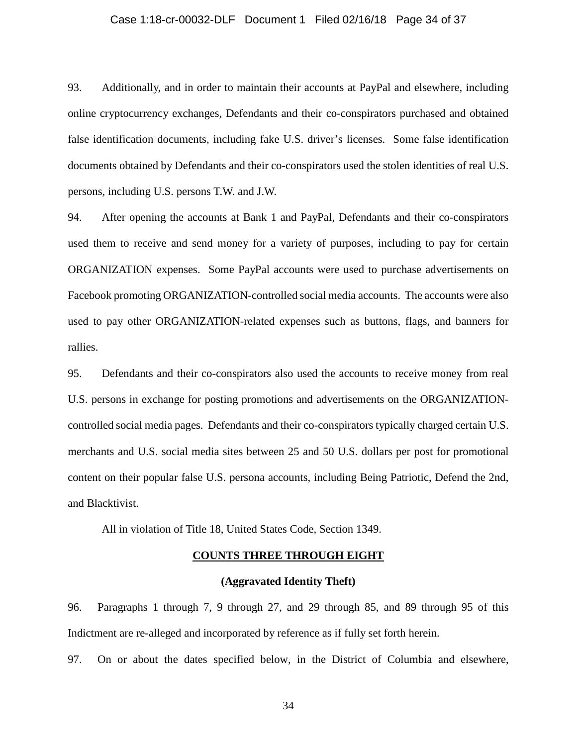### Case 1:18-cr-00032-DLF Document 1 Filed 02/16/18 Page 34 of 37

 93. Additionally, and in order to maintain their accounts at PayPal and elsewhere, including online cryptocurrency exchanges, Defendants and their co-conspirators purchased and obtained false identification documents, including fake U.S. driver's licenses. Some false identification documents obtained by Defendants and their co-conspirators used the stolen identities of real U.S. persons, including U.S. persons T.W. and J.W.

 94. After opening the accounts at Bank 1 and PayPal, Defendants and their co-conspirators used them to receive and send money for a variety of purposes, including to pay for certain ORGANIZATION expenses. Some PayPal accounts were used to purchase advertisements on Facebook promoting ORGANIZATION-controlled social media accounts. The accounts were also used to pay other ORGANIZATION-related expenses such as buttons, flags, and banners for rallies.

<span id="page-33-0"></span>rallies.<br>95. Defendants and their co-conspirators also used the accounts to receive money from real U.S. persons in exchange for posting promotions and advertisements on the ORGANIZATION- controlled social media pages. Defendants and their co-conspirators typically charged certain U.S. merchants and U.S. social media sites between 25 and 50 U.S. dollars per post for promotional content on their popular false U.S. persona accounts, including Being Patriotic, Defend the 2nd, and Blacktivist.

All in violation of Title 18, United States Code, Section 1349.

#### **COUNTS THREE THROUGH EIGHT**

#### **(Aggravated Identity Theft)**

 96. Paragraphs 1 through 7, 9 through [27,](#page-10-0) and [29](#page-11-0) through [85,](#page-29-0) and [89](#page-30-0) through [95](#page-33-0) of this Indictment are re-alleged and incorporated by reference as if fully set forth herein.

97. On or about the dates specified below, in the District of Columbia and elsewhere,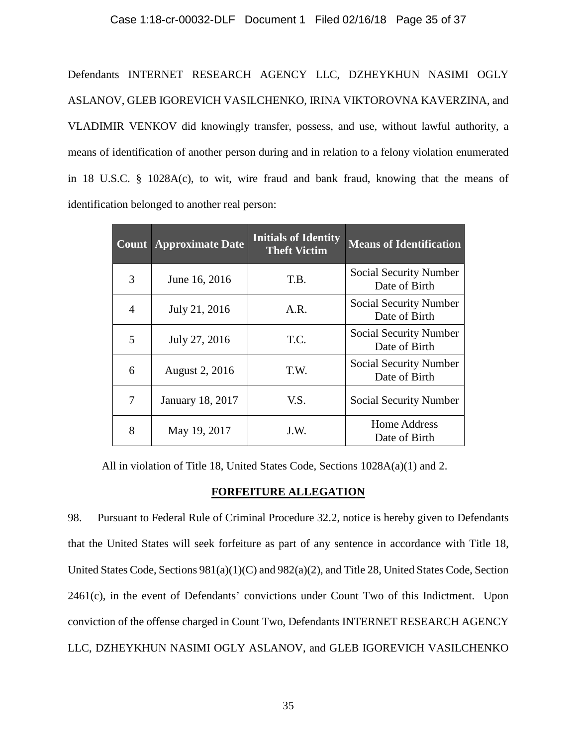# Case 1:18-cr-00032-DLF Document 1 Filed 02/16/18 Page 35 of 37

 Defendants INTERNET RESEARCH AGENCY LLC, DZHEYKHUN NASIMI OGLY ASLANOV, GLEB IGOREVICH VASILCHENKO, IRINA VIKTOROVNA KAVERZINA, and VLADIMIR VENKOV did knowingly transfer, possess, and use, without lawful authority, a means of identification of another person during and in relation to a felony violation enumerated in 18 U.S.C. § 1028A(c), to wit, wire fraud and bank fraud, knowing that the means of identification belonged to another real person:

| Count | <b>Approximate Date</b> | <b>Initials of Identity</b><br><b>Theft Victim</b> | <b>Means of Identification</b>                 |
|-------|-------------------------|----------------------------------------------------|------------------------------------------------|
| 3     | June 16, 2016           | T.B.                                               | <b>Social Security Number</b><br>Date of Birth |
| 4     | July 21, 2016           | A.R.                                               | <b>Social Security Number</b><br>Date of Birth |
| 5     | July 27, 2016           | T.C.                                               | <b>Social Security Number</b><br>Date of Birth |
| 6     | August 2, 2016          | T.W.                                               | <b>Social Security Number</b><br>Date of Birth |
| 7     | January 18, 2017        | V.S.                                               | Social Security Number                         |
| 8     | May 19, 2017            | J.W.                                               | <b>Home Address</b><br>Date of Birth           |

All in violation of Title 18, United States Code, Sections 1028A(a)(1) and 2.

#### **FORFEITURE ALLEGATION**

98. Pursuant to Federal Rule of Criminal Procedure 32.2, notice is hereby given to Defendants that the United States will seek forfeiture as part of any sentence in accordance with Title 18, United States Code, Sections 981(a)(1)(C) and 982(a)(2), and Title 28, United States Code, Section 2461(c), in the event of Defendants' convictions under Count Two of this Indictment. Upon conviction of the offense charged in Count Two, Defendants INTERNET RESEARCH AGENCY LLC, DZHEYKHUN NASIMI OGLY ASLANOV, and GLEB IGOREVICH VASILCHENKO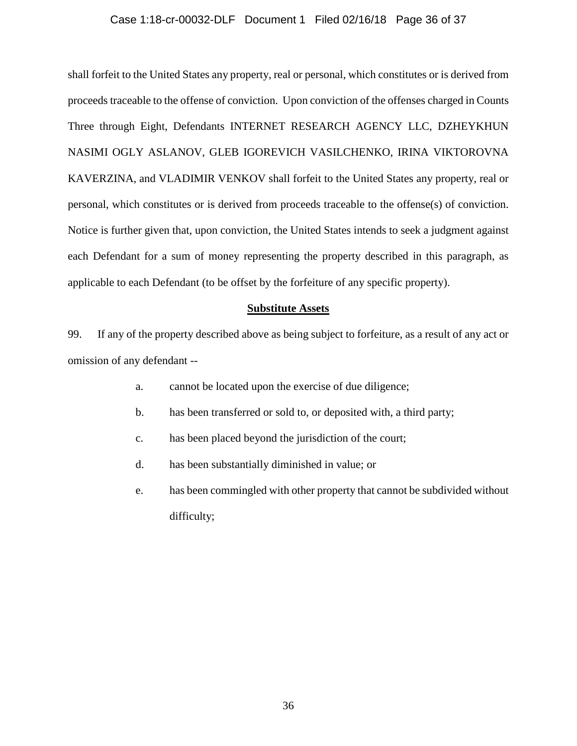# Case 1:18-cr-00032-DLF Document 1 Filed 02/16/18 Page 36 of 37

shall forfeit to the United States any property, real or personal, which constitutes or is derived from proceeds traceable to the offense of conviction. Upon conviction of the offenses charged in Counts Three through Eight, Defendants INTERNET RESEARCH AGENCY LLC, DZHEYKHUN NASIMI OGLY ASLANOV, GLEB IGOREVICH VASILCHENKO, IRINA VIKTOROVNA KAVERZINA, and VLADIMIR VENKOV shall forfeit to the United States any property, real or personal, which constitutes or is derived from proceeds traceable to the offense(s) of conviction. Notice is further given that, upon conviction, the United States intends to seek a judgment against each Defendant for a sum of money representing the property described in this paragraph, as applicable to each Defendant (to be offset by the forfeiture of any specific property).

### **Substitute Assets**

99. If any of the property described above as being subject to forfeiture, as a result of any act or omission of any defendant --

- a. cannot be located upon the exercise of due diligence;
- b. has been transferred or sold to, or deposited with, a third party;
- c. has been placed beyond the jurisdiction of the court;
- d. has been substantially diminished in value; or
- e. has been commingled with other property that cannot be subdivided without difficulty;